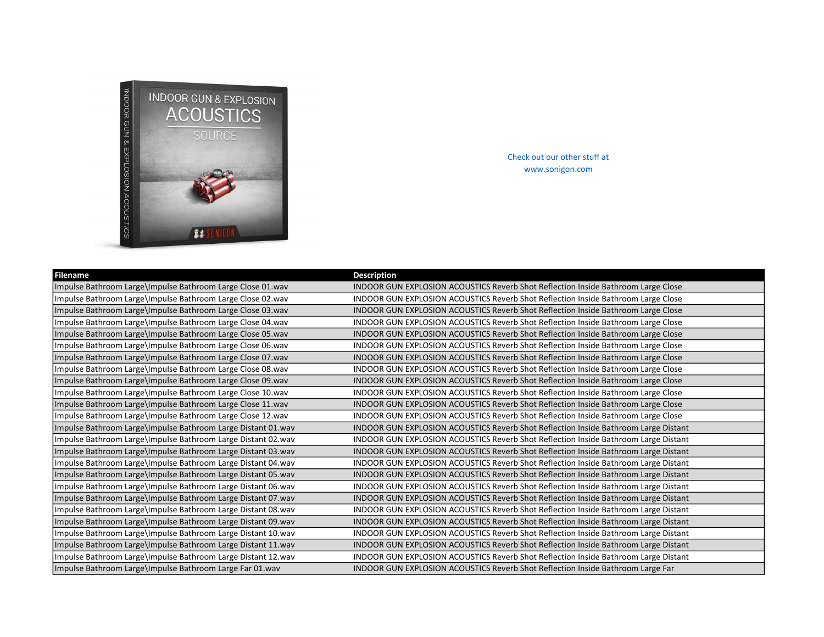

Check out our other stuff at www.sonigon.com

| <b>Filename</b>                                              | <b>Description</b>                                                                  |
|--------------------------------------------------------------|-------------------------------------------------------------------------------------|
| Impulse Bathroom Large\Impulse Bathroom Large Close 01.wav   | INDOOR GUN EXPLOSION ACOUSTICS Reverb Shot Reflection Inside Bathroom Large Close   |
| Impulse Bathroom Large\Impulse Bathroom Large Close 02.wav   | INDOOR GUN EXPLOSION ACOUSTICS Reverb Shot Reflection Inside Bathroom Large Close   |
| Impulse Bathroom Large\Impulse Bathroom Large Close 03.wav   | INDOOR GUN EXPLOSION ACOUSTICS Reverb Shot Reflection Inside Bathroom Large Close   |
| Impulse Bathroom Large\Impulse Bathroom Large Close 04.wav   | INDOOR GUN EXPLOSION ACOUSTICS Reverb Shot Reflection Inside Bathroom Large Close   |
| Impulse Bathroom Large\Impulse Bathroom Large Close 05.wav   | INDOOR GUN EXPLOSION ACOUSTICS Reverb Shot Reflection Inside Bathroom Large Close   |
| Impulse Bathroom Large\Impulse Bathroom Large Close 06.wav   | INDOOR GUN EXPLOSION ACOUSTICS Reverb Shot Reflection Inside Bathroom Large Close   |
| Impulse Bathroom Large\Impulse Bathroom Large Close 07.wav   | INDOOR GUN EXPLOSION ACOUSTICS Reverb Shot Reflection Inside Bathroom Large Close   |
| Impulse Bathroom Large\Impulse Bathroom Large Close 08.wav   | INDOOR GUN EXPLOSION ACOUSTICS Reverb Shot Reflection Inside Bathroom Large Close   |
| Impulse Bathroom Large\Impulse Bathroom Large Close 09.wav   | INDOOR GUN EXPLOSION ACOUSTICS Reverb Shot Reflection Inside Bathroom Large Close   |
| Impulse Bathroom Large\Impulse Bathroom Large Close 10.wav   | INDOOR GUN EXPLOSION ACOUSTICS Reverb Shot Reflection Inside Bathroom Large Close   |
| Impulse Bathroom Large\Impulse Bathroom Large Close 11.wav   | INDOOR GUN EXPLOSION ACOUSTICS Reverb Shot Reflection Inside Bathroom Large Close   |
| Impulse Bathroom Large\Impulse Bathroom Large Close 12.wav   | INDOOR GUN EXPLOSION ACOUSTICS Reverb Shot Reflection Inside Bathroom Large Close   |
| Impulse Bathroom Large\Impulse Bathroom Large Distant 01.wav | INDOOR GUN EXPLOSION ACOUSTICS Reverb Shot Reflection Inside Bathroom Large Distant |
| Impulse Bathroom Large\Impulse Bathroom Large Distant 02.wav | INDOOR GUN EXPLOSION ACOUSTICS Reverb Shot Reflection Inside Bathroom Large Distant |
| Impulse Bathroom Large\Impulse Bathroom Large Distant 03.wav | INDOOR GUN EXPLOSION ACOUSTICS Reverb Shot Reflection Inside Bathroom Large Distant |
| Impulse Bathroom Large\Impulse Bathroom Large Distant 04.wav | INDOOR GUN EXPLOSION ACOUSTICS Reverb Shot Reflection Inside Bathroom Large Distant |
| Impulse Bathroom Large\Impulse Bathroom Large Distant 05.wav | INDOOR GUN EXPLOSION ACOUSTICS Reverb Shot Reflection Inside Bathroom Large Distant |
| Impulse Bathroom Large\Impulse Bathroom Large Distant 06.wav | INDOOR GUN EXPLOSION ACOUSTICS Reverb Shot Reflection Inside Bathroom Large Distant |
| Impulse Bathroom Large\Impulse Bathroom Large Distant 07.wav | INDOOR GUN EXPLOSION ACOUSTICS Reverb Shot Reflection Inside Bathroom Large Distant |
| Impulse Bathroom Large\Impulse Bathroom Large Distant 08.wav | INDOOR GUN EXPLOSION ACOUSTICS Reverb Shot Reflection Inside Bathroom Large Distant |
| Impulse Bathroom Large\Impulse Bathroom Large Distant 09.wav | INDOOR GUN EXPLOSION ACOUSTICS Reverb Shot Reflection Inside Bathroom Large Distant |
| Impulse Bathroom Large\Impulse Bathroom Large Distant 10.wav | INDOOR GUN EXPLOSION ACOUSTICS Reverb Shot Reflection Inside Bathroom Large Distant |
| Impulse Bathroom Large\Impulse Bathroom Large Distant 11.wav | INDOOR GUN EXPLOSION ACOUSTICS Reverb Shot Reflection Inside Bathroom Large Distant |
| Impulse Bathroom Large\Impulse Bathroom Large Distant 12.wav | INDOOR GUN EXPLOSION ACOUSTICS Reverb Shot Reflection Inside Bathroom Large Distant |
| Impulse Bathroom Large\Impulse Bathroom Large Far 01.wav     | INDOOR GUN EXPLOSION ACOUSTICS Reverb Shot Reflection Inside Bathroom Large Far     |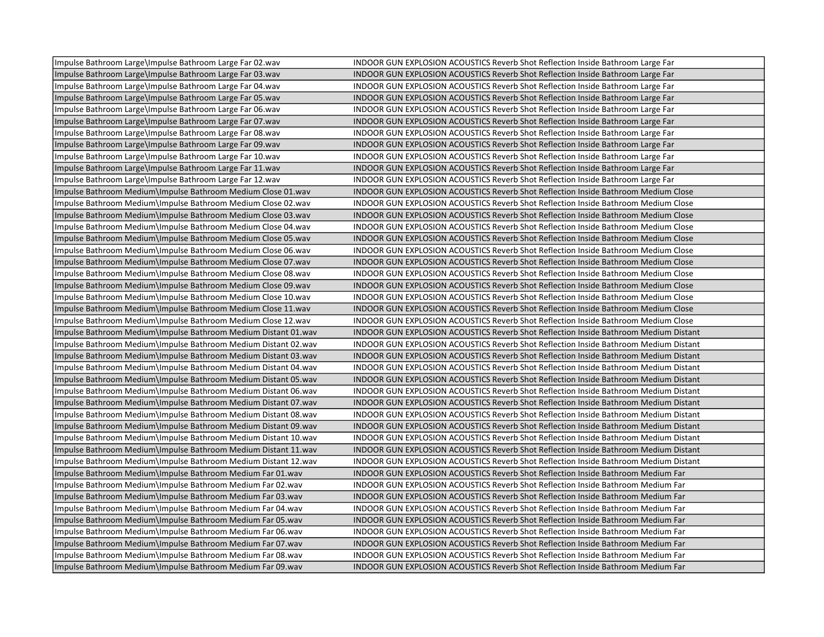| Impulse Bathroom Large\Impulse Bathroom Large Far 02.wav       | INDOOR GUN EXPLOSION ACOUSTICS Reverb Shot Reflection Inside Bathroom Large Far             |
|----------------------------------------------------------------|---------------------------------------------------------------------------------------------|
| Impulse Bathroom Large\Impulse Bathroom Large Far 03.wav       | INDOOR GUN EXPLOSION ACOUSTICS Reverb Shot Reflection Inside Bathroom Large Far             |
| Impulse Bathroom Large\Impulse Bathroom Large Far 04.wav       | INDOOR GUN EXPLOSION ACOUSTICS Reverb Shot Reflection Inside Bathroom Large Far             |
| Impulse Bathroom Large\Impulse Bathroom Large Far 05.wav       | INDOOR GUN EXPLOSION ACOUSTICS Reverb Shot Reflection Inside Bathroom Large Far             |
| Impulse Bathroom Large\Impulse Bathroom Large Far 06.wav       | INDOOR GUN EXPLOSION ACOUSTICS Reverb Shot Reflection Inside Bathroom Large Far             |
| Impulse Bathroom Large\Impulse Bathroom Large Far 07.wav       | INDOOR GUN EXPLOSION ACOUSTICS Reverb Shot Reflection Inside Bathroom Large Far             |
| Impulse Bathroom Large\Impulse Bathroom Large Far 08.wav       | INDOOR GUN EXPLOSION ACOUSTICS Reverb Shot Reflection Inside Bathroom Large Far             |
| Impulse Bathroom Large\Impulse Bathroom Large Far 09.wav       | INDOOR GUN EXPLOSION ACOUSTICS Reverb Shot Reflection Inside Bathroom Large Far             |
| Impulse Bathroom Large\Impulse Bathroom Large Far 10.wav       | INDOOR GUN EXPLOSION ACOUSTICS Reverb Shot Reflection Inside Bathroom Large Far             |
| Impulse Bathroom Large\Impulse Bathroom Large Far 11.wav       | INDOOR GUN EXPLOSION ACOUSTICS Reverb Shot Reflection Inside Bathroom Large Far             |
| Impulse Bathroom Large\Impulse Bathroom Large Far 12.wav       | INDOOR GUN EXPLOSION ACOUSTICS Reverb Shot Reflection Inside Bathroom Large Far             |
| Impulse Bathroom Medium\Impulse Bathroom Medium Close 01.wav   | INDOOR GUN EXPLOSION ACOUSTICS Reverb Shot Reflection Inside Bathroom Medium Close          |
| Impulse Bathroom Medium\Impulse Bathroom Medium Close 02.wav   | INDOOR GUN EXPLOSION ACOUSTICS Reverb Shot Reflection Inside Bathroom Medium Close          |
| Impulse Bathroom Medium\Impulse Bathroom Medium Close 03.wav   | INDOOR GUN EXPLOSION ACOUSTICS Reverb Shot Reflection Inside Bathroom Medium Close          |
| Impulse Bathroom Medium\Impulse Bathroom Medium Close 04.wav   | INDOOR GUN EXPLOSION ACOUSTICS Reverb Shot Reflection Inside Bathroom Medium Close          |
| Impulse Bathroom Medium\Impulse Bathroom Medium Close 05.wav   | INDOOR GUN EXPLOSION ACOUSTICS Reverb Shot Reflection Inside Bathroom Medium Close          |
| Impulse Bathroom Medium\Impulse Bathroom Medium Close 06.wav   | INDOOR GUN EXPLOSION ACOUSTICS Reverb Shot Reflection Inside Bathroom Medium Close          |
| Impulse Bathroom Medium\Impulse Bathroom Medium Close 07.wav   | INDOOR GUN EXPLOSION ACOUSTICS Reverb Shot Reflection Inside Bathroom Medium Close          |
| Impulse Bathroom Medium\Impulse Bathroom Medium Close 08.wav   | INDOOR GUN EXPLOSION ACOUSTICS Reverb Shot Reflection Inside Bathroom Medium Close          |
| Impulse Bathroom Medium\Impulse Bathroom Medium Close 09.wav   | <b>INDOOR GUN EXPLOSION ACOUSTICS Reverb Shot Reflection Inside Bathroom Medium Close</b>   |
| Impulse Bathroom Medium\Impulse Bathroom Medium Close 10.wav   | INDOOR GUN EXPLOSION ACOUSTICS Reverb Shot Reflection Inside Bathroom Medium Close          |
| Impulse Bathroom Medium\Impulse Bathroom Medium Close 11.wav   | INDOOR GUN EXPLOSION ACOUSTICS Reverb Shot Reflection Inside Bathroom Medium Close          |
| Impulse Bathroom Medium\Impulse Bathroom Medium Close 12.wav   | INDOOR GUN EXPLOSION ACOUSTICS Reverb Shot Reflection Inside Bathroom Medium Close          |
| Impulse Bathroom Medium\Impulse Bathroom Medium Distant 01.wav | <b>INDOOR GUN EXPLOSION ACOUSTICS Reverb Shot Reflection Inside Bathroom Medium Distant</b> |
| Impulse Bathroom Medium\Impulse Bathroom Medium Distant 02.wav | INDOOR GUN EXPLOSION ACOUSTICS Reverb Shot Reflection Inside Bathroom Medium Distant        |
| Impulse Bathroom Medium\Impulse Bathroom Medium Distant 03.wav | <b>INDOOR GUN EXPLOSION ACOUSTICS Reverb Shot Reflection Inside Bathroom Medium Distant</b> |
| Impulse Bathroom Medium\Impulse Bathroom Medium Distant 04.wav | INDOOR GUN EXPLOSION ACOUSTICS Reverb Shot Reflection Inside Bathroom Medium Distant        |
| Impulse Bathroom Medium\Impulse Bathroom Medium Distant 05.wav | INDOOR GUN EXPLOSION ACOUSTICS Reverb Shot Reflection Inside Bathroom Medium Distant        |
| Impulse Bathroom Medium\Impulse Bathroom Medium Distant 06.wav | <b>INDOOR GUN EXPLOSION ACOUSTICS Reverb Shot Reflection Inside Bathroom Medium Distant</b> |
| Impulse Bathroom Medium\Impulse Bathroom Medium Distant 07.wav | INDOOR GUN EXPLOSION ACOUSTICS Reverb Shot Reflection Inside Bathroom Medium Distant        |
| Impulse Bathroom Medium\Impulse Bathroom Medium Distant 08.wav | INDOOR GUN EXPLOSION ACOUSTICS Reverb Shot Reflection Inside Bathroom Medium Distant        |
| Impulse Bathroom Medium\Impulse Bathroom Medium Distant 09.wav | INDOOR GUN EXPLOSION ACOUSTICS Reverb Shot Reflection Inside Bathroom Medium Distant        |
| Impulse Bathroom Medium\Impulse Bathroom Medium Distant 10.wav | INDOOR GUN EXPLOSION ACOUSTICS Reverb Shot Reflection Inside Bathroom Medium Distant        |
| Impulse Bathroom Medium\Impulse Bathroom Medium Distant 11.wav | <b>INDOOR GUN EXPLOSION ACOUSTICS Reverb Shot Reflection Inside Bathroom Medium Distant</b> |
| Impulse Bathroom Medium\Impulse Bathroom Medium Distant 12.wav | INDOOR GUN EXPLOSION ACOUSTICS Reverb Shot Reflection Inside Bathroom Medium Distant        |
| Impulse Bathroom Medium\Impulse Bathroom Medium Far 01.wav     | INDOOR GUN EXPLOSION ACOUSTICS Reverb Shot Reflection Inside Bathroom Medium Far            |
| Impulse Bathroom Medium\Impulse Bathroom Medium Far 02.wav     | INDOOR GUN EXPLOSION ACOUSTICS Reverb Shot Reflection Inside Bathroom Medium Far            |
| Impulse Bathroom Medium\Impulse Bathroom Medium Far 03.wav     | INDOOR GUN EXPLOSION ACOUSTICS Reverb Shot Reflection Inside Bathroom Medium Far            |
| Impulse Bathroom Medium\Impulse Bathroom Medium Far 04.wav     | INDOOR GUN EXPLOSION ACOUSTICS Reverb Shot Reflection Inside Bathroom Medium Far            |
| Impulse Bathroom Medium\Impulse Bathroom Medium Far 05.wav     | INDOOR GUN EXPLOSION ACOUSTICS Reverb Shot Reflection Inside Bathroom Medium Far            |
| Impulse Bathroom Medium\Impulse Bathroom Medium Far 06.wav     | INDOOR GUN EXPLOSION ACOUSTICS Reverb Shot Reflection Inside Bathroom Medium Far            |
| Impulse Bathroom Medium\Impulse Bathroom Medium Far 07.wav     | INDOOR GUN EXPLOSION ACOUSTICS Reverb Shot Reflection Inside Bathroom Medium Far            |
| Impulse Bathroom Medium\Impulse Bathroom Medium Far 08.wav     | INDOOR GUN EXPLOSION ACOUSTICS Reverb Shot Reflection Inside Bathroom Medium Far            |
| Impulse Bathroom Medium\Impulse Bathroom Medium Far 09.wav     | INDOOR GUN EXPLOSION ACOUSTICS Reverb Shot Reflection Inside Bathroom Medium Far            |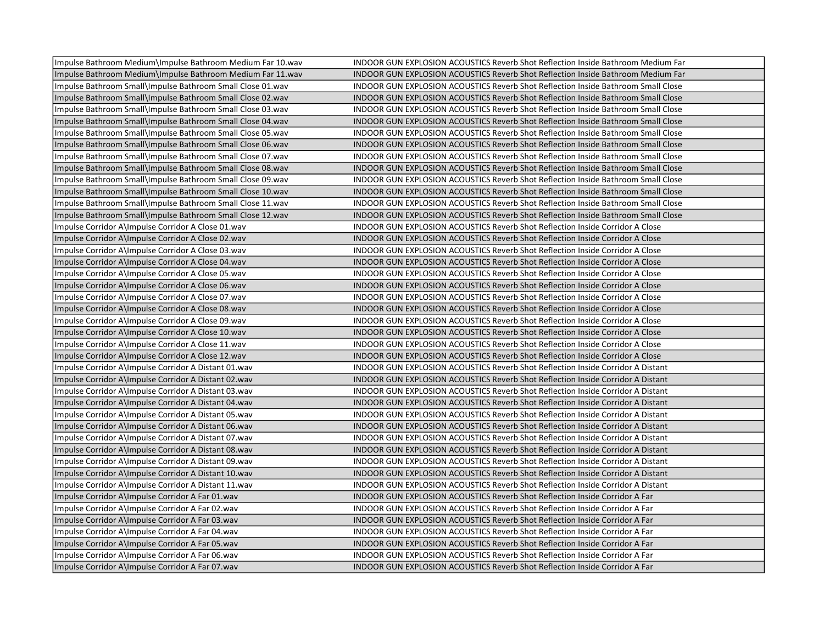| Impulse Bathroom Medium\Impulse Bathroom Medium Far 10.wav | INDOOR GUN EXPLOSION ACOUSTICS Reverb Shot Reflection Inside Bathroom Medium Far         |
|------------------------------------------------------------|------------------------------------------------------------------------------------------|
| Impulse Bathroom Medium\Impulse Bathroom Medium Far 11.wav | INDOOR GUN EXPLOSION ACOUSTICS Reverb Shot Reflection Inside Bathroom Medium Far         |
| Impulse Bathroom Small\Impulse Bathroom Small Close 01.wav | <b>INDOOR GUN EXPLOSION ACOUSTICS Reverb Shot Reflection Inside Bathroom Small Close</b> |
| Impulse Bathroom Small\Impulse Bathroom Small Close 02.wav | <b>INDOOR GUN EXPLOSION ACOUSTICS Reverb Shot Reflection Inside Bathroom Small Close</b> |
| Impulse Bathroom Small\Impulse Bathroom Small Close 03.wav | INDOOR GUN EXPLOSION ACOUSTICS Reverb Shot Reflection Inside Bathroom Small Close        |
| Impulse Bathroom Small\Impulse Bathroom Small Close 04.wav | <b>INDOOR GUN EXPLOSION ACOUSTICS Reverb Shot Reflection Inside Bathroom Small Close</b> |
| Impulse Bathroom Small\Impulse Bathroom Small Close 05.wav | INDOOR GUN EXPLOSION ACOUSTICS Reverb Shot Reflection Inside Bathroom Small Close        |
| Impulse Bathroom Small\Impulse Bathroom Small Close 06.wav | INDOOR GUN EXPLOSION ACOUSTICS Reverb Shot Reflection Inside Bathroom Small Close        |
| Impulse Bathroom Small\Impulse Bathroom Small Close 07.wav | INDOOR GUN EXPLOSION ACOUSTICS Reverb Shot Reflection Inside Bathroom Small Close        |
| Impulse Bathroom Small\Impulse Bathroom Small Close 08.wav | <b>INDOOR GUN EXPLOSION ACOUSTICS Reverb Shot Reflection Inside Bathroom Small Close</b> |
| Impulse Bathroom Small\Impulse Bathroom Small Close 09.wav | INDOOR GUN EXPLOSION ACOUSTICS Reverb Shot Reflection Inside Bathroom Small Close        |
| Impulse Bathroom Small\Impulse Bathroom Small Close 10.wav | INDOOR GUN EXPLOSION ACOUSTICS Reverb Shot Reflection Inside Bathroom Small Close        |
| Impulse Bathroom Small\Impulse Bathroom Small Close 11.wav | INDOOR GUN EXPLOSION ACOUSTICS Reverb Shot Reflection Inside Bathroom Small Close        |
| Impulse Bathroom Small\Impulse Bathroom Small Close 12.wav | INDOOR GUN EXPLOSION ACOUSTICS Reverb Shot Reflection Inside Bathroom Small Close        |
| Impulse Corridor A\Impulse Corridor A Close 01.wav         | INDOOR GUN EXPLOSION ACOUSTICS Reverb Shot Reflection Inside Corridor A Close            |
| Impulse Corridor A\Impulse Corridor A Close 02.wav         | <b>INDOOR GUN EXPLOSION ACOUSTICS Reverb Shot Reflection Inside Corridor A Close</b>     |
| Impulse Corridor A\Impulse Corridor A Close 03.wav         | INDOOR GUN EXPLOSION ACOUSTICS Reverb Shot Reflection Inside Corridor A Close            |
| Impulse Corridor A\Impulse Corridor A Close 04.wav         | <b>INDOOR GUN EXPLOSION ACOUSTICS Reverb Shot Reflection Inside Corridor A Close</b>     |
| Impulse Corridor A\Impulse Corridor A Close 05.wav         | INDOOR GUN EXPLOSION ACOUSTICS Reverb Shot Reflection Inside Corridor A Close            |
| Impulse Corridor A\Impulse Corridor A Close 06.wav         | INDOOR GUN EXPLOSION ACOUSTICS Reverb Shot Reflection Inside Corridor A Close            |
| Impulse Corridor A\Impulse Corridor A Close 07.wav         | INDOOR GUN EXPLOSION ACOUSTICS Reverb Shot Reflection Inside Corridor A Close            |
| Impulse Corridor A\Impulse Corridor A Close 08.wav         | INDOOR GUN EXPLOSION ACOUSTICS Reverb Shot Reflection Inside Corridor A Close            |
| Impulse Corridor A\Impulse Corridor A Close 09.wav         | INDOOR GUN EXPLOSION ACOUSTICS Reverb Shot Reflection Inside Corridor A Close            |
| Impulse Corridor A\Impulse Corridor A Close 10.wav         | INDOOR GUN EXPLOSION ACOUSTICS Reverb Shot Reflection Inside Corridor A Close            |
| Impulse Corridor A\Impulse Corridor A Close 11.wav         | INDOOR GUN EXPLOSION ACOUSTICS Reverb Shot Reflection Inside Corridor A Close            |
| Impulse Corridor A\Impulse Corridor A Close 12.wav         | INDOOR GUN EXPLOSION ACOUSTICS Reverb Shot Reflection Inside Corridor A Close            |
| Impulse Corridor A\Impulse Corridor A Distant 01.wav       | INDOOR GUN EXPLOSION ACOUSTICS Reverb Shot Reflection Inside Corridor A Distant          |
| Impulse Corridor A\Impulse Corridor A Distant 02.wav       | <b>INDOOR GUN EXPLOSION ACOUSTICS Reverb Shot Reflection Inside Corridor A Distant</b>   |
| Impulse Corridor A\Impulse Corridor A Distant 03.wav       | INDOOR GUN EXPLOSION ACOUSTICS Reverb Shot Reflection Inside Corridor A Distant          |
| Impulse Corridor A\Impulse Corridor A Distant 04.wav       | <b>INDOOR GUN EXPLOSION ACOUSTICS Reverb Shot Reflection Inside Corridor A Distant</b>   |
| Impulse Corridor A\Impulse Corridor A Distant 05.wav       | <b>INDOOR GUN EXPLOSION ACOUSTICS Reverb Shot Reflection Inside Corridor A Distant</b>   |
| Impulse Corridor A\Impulse Corridor A Distant 06.wav       | INDOOR GUN EXPLOSION ACOUSTICS Reverb Shot Reflection Inside Corridor A Distant          |
| Impulse Corridor A\Impulse Corridor A Distant 07.wav       | <b>INDOOR GUN EXPLOSION ACOUSTICS Reverb Shot Reflection Inside Corridor A Distant</b>   |
| Impulse Corridor A\Impulse Corridor A Distant 08.wav       | <b>INDOOR GUN EXPLOSION ACOUSTICS Reverb Shot Reflection Inside Corridor A Distant</b>   |
| Impulse Corridor A\Impulse Corridor A Distant 09.wav       | <b>INDOOR GUN EXPLOSION ACOUSTICS Reverb Shot Reflection Inside Corridor A Distant</b>   |
| Impulse Corridor A\Impulse Corridor A Distant 10.wav       | <b>INDOOR GUN EXPLOSION ACOUSTICS Reverb Shot Reflection Inside Corridor A Distant</b>   |
| Impulse Corridor A\Impulse Corridor A Distant 11.wav       | <b>INDOOR GUN EXPLOSION ACOUSTICS Reverb Shot Reflection Inside Corridor A Distant</b>   |
| Impulse Corridor A\Impulse Corridor A Far 01.wav           | INDOOR GUN EXPLOSION ACOUSTICS Reverb Shot Reflection Inside Corridor A Far              |
| Impulse Corridor A\Impulse Corridor A Far 02.wav           | INDOOR GUN EXPLOSION ACOUSTICS Reverb Shot Reflection Inside Corridor A Far              |
| Impulse Corridor A\Impulse Corridor A Far 03.wav           | INDOOR GUN EXPLOSION ACOUSTICS Reverb Shot Reflection Inside Corridor A Far              |
| Impulse Corridor A\Impulse Corridor A Far 04.wav           | INDOOR GUN EXPLOSION ACOUSTICS Reverb Shot Reflection Inside Corridor A Far              |
| Impulse Corridor A\Impulse Corridor A Far 05.wav           | INDOOR GUN EXPLOSION ACOUSTICS Reverb Shot Reflection Inside Corridor A Far              |
| Impulse Corridor A\Impulse Corridor A Far 06.wav           | INDOOR GUN EXPLOSION ACOUSTICS Reverb Shot Reflection Inside Corridor A Far              |
| Impulse Corridor A\Impulse Corridor A Far 07.wav           | <b>INDOOR GUN EXPLOSION ACOUSTICS Reverb Shot Reflection Inside Corridor A Far</b>       |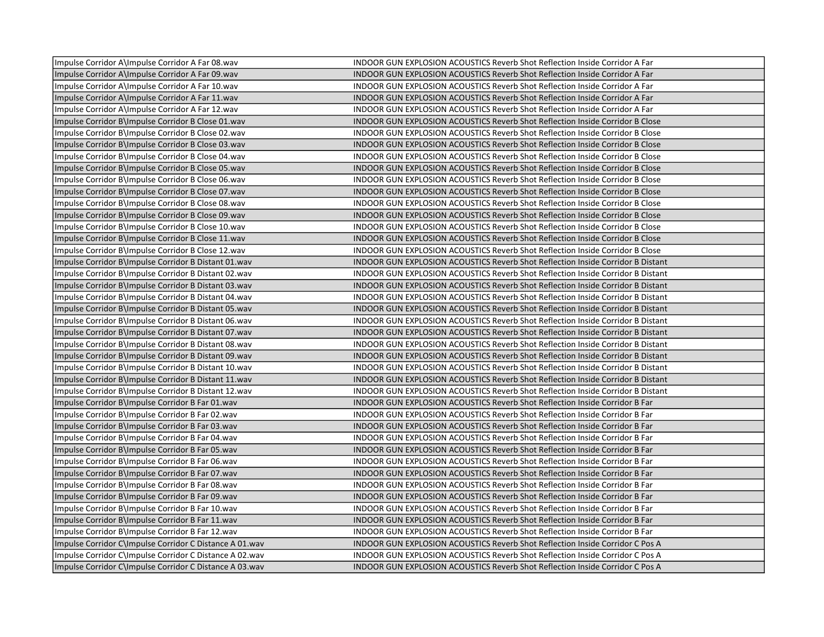| Impulse Corridor A\Impulse Corridor A Far 08.wav        | INDOOR GUN EXPLOSION ACOUSTICS Reverb Shot Reflection Inside Corridor A Far            |
|---------------------------------------------------------|----------------------------------------------------------------------------------------|
| Impulse Corridor A\Impulse Corridor A Far 09.wav        | INDOOR GUN EXPLOSION ACOUSTICS Reverb Shot Reflection Inside Corridor A Far            |
| Impulse Corridor A\Impulse Corridor A Far 10.wav        | INDOOR GUN EXPLOSION ACOUSTICS Reverb Shot Reflection Inside Corridor A Far            |
| Impulse Corridor A\Impulse Corridor A Far 11.wav        | INDOOR GUN EXPLOSION ACOUSTICS Reverb Shot Reflection Inside Corridor A Far            |
| Impulse Corridor A\Impulse Corridor A Far 12.wav        | INDOOR GUN EXPLOSION ACOUSTICS Reverb Shot Reflection Inside Corridor A Far            |
| Impulse Corridor B\Impulse Corridor B Close 01.wav      | <b>INDOOR GUN EXPLOSION ACOUSTICS Reverb Shot Reflection Inside Corridor B Close</b>   |
| Impulse Corridor B\Impulse Corridor B Close 02.wav      | INDOOR GUN EXPLOSION ACOUSTICS Reverb Shot Reflection Inside Corridor B Close          |
| Impulse Corridor B\Impulse Corridor B Close 03.wav      | INDOOR GUN EXPLOSION ACOUSTICS Reverb Shot Reflection Inside Corridor B Close          |
| Impulse Corridor B\Impulse Corridor B Close 04.wav      | INDOOR GUN EXPLOSION ACOUSTICS Reverb Shot Reflection Inside Corridor B Close          |
| Impulse Corridor B\Impulse Corridor B Close 05.wav      | <b>INDOOR GUN EXPLOSION ACOUSTICS Reverb Shot Reflection Inside Corridor B Close</b>   |
| Impulse Corridor B\Impulse Corridor B Close 06.wav      | INDOOR GUN EXPLOSION ACOUSTICS Reverb Shot Reflection Inside Corridor B Close          |
| Impulse Corridor B\Impulse Corridor B Close 07.wav      | INDOOR GUN EXPLOSION ACOUSTICS Reverb Shot Reflection Inside Corridor B Close          |
| Impulse Corridor B\Impulse Corridor B Close 08.wav      | INDOOR GUN EXPLOSION ACOUSTICS Reverb Shot Reflection Inside Corridor B Close          |
| Impulse Corridor B\Impulse Corridor B Close 09.wav      | INDOOR GUN EXPLOSION ACOUSTICS Reverb Shot Reflection Inside Corridor B Close          |
| Impulse Corridor B\Impulse Corridor B Close 10.wav      | INDOOR GUN EXPLOSION ACOUSTICS Reverb Shot Reflection Inside Corridor B Close          |
| Impulse Corridor B\Impulse Corridor B Close 11.wav      | <b>INDOOR GUN EXPLOSION ACOUSTICS Reverb Shot Reflection Inside Corridor B Close</b>   |
| Impulse Corridor B\Impulse Corridor B Close 12.wav      | <b>INDOOR GUN EXPLOSION ACOUSTICS Reverb Shot Reflection Inside Corridor B Close</b>   |
| Impulse Corridor B\Impulse Corridor B Distant 01.wav    | <b>INDOOR GUN EXPLOSION ACOUSTICS Reverb Shot Reflection Inside Corridor B Distant</b> |
| Impulse Corridor B\Impulse Corridor B Distant 02.wav    | INDOOR GUN EXPLOSION ACOUSTICS Reverb Shot Reflection Inside Corridor B Distant        |
| Impulse Corridor B\Impulse Corridor B Distant 03.wav    | INDOOR GUN EXPLOSION ACOUSTICS Reverb Shot Reflection Inside Corridor B Distant        |
| Impulse Corridor B\Impulse Corridor B Distant 04.wav    | INDOOR GUN EXPLOSION ACOUSTICS Reverb Shot Reflection Inside Corridor B Distant        |
| Impulse Corridor B\Impulse Corridor B Distant 05.wav    | <b>INDOOR GUN EXPLOSION ACOUSTICS Reverb Shot Reflection Inside Corridor B Distant</b> |
| Impulse Corridor B\Impulse Corridor B Distant 06.wav    | <b>INDOOR GUN EXPLOSION ACOUSTICS Reverb Shot Reflection Inside Corridor B Distant</b> |
| Impulse Corridor B\Impulse Corridor B Distant 07.wav    | INDOOR GUN EXPLOSION ACOUSTICS Reverb Shot Reflection Inside Corridor B Distant        |
| Impulse Corridor B\Impulse Corridor B Distant 08.wav    | <b>INDOOR GUN EXPLOSION ACOUSTICS Reverb Shot Reflection Inside Corridor B Distant</b> |
| Impulse Corridor B\Impulse Corridor B Distant 09.wav    | INDOOR GUN EXPLOSION ACOUSTICS Reverb Shot Reflection Inside Corridor B Distant        |
| Impulse Corridor B\Impulse Corridor B Distant 10.wav    | INDOOR GUN EXPLOSION ACOUSTICS Reverb Shot Reflection Inside Corridor B Distant        |
| Impulse Corridor B\Impulse Corridor B Distant 11.wav    | <b>INDOOR GUN EXPLOSION ACOUSTICS Reverb Shot Reflection Inside Corridor B Distant</b> |
| Impulse Corridor B\Impulse Corridor B Distant 12.wav    | INDOOR GUN EXPLOSION ACOUSTICS Reverb Shot Reflection Inside Corridor B Distant        |
| Impulse Corridor B\Impulse Corridor B Far 01.wav        | INDOOR GUN EXPLOSION ACOUSTICS Reverb Shot Reflection Inside Corridor B Far            |
| Impulse Corridor B\Impulse Corridor B Far 02.wav        | INDOOR GUN EXPLOSION ACOUSTICS Reverb Shot Reflection Inside Corridor B Far            |
| Impulse Corridor B\Impulse Corridor B Far 03.wav        | <b>INDOOR GUN EXPLOSION ACOUSTICS Reverb Shot Reflection Inside Corridor B Far</b>     |
| Impulse Corridor B\Impulse Corridor B Far 04.wav        | INDOOR GUN EXPLOSION ACOUSTICS Reverb Shot Reflection Inside Corridor B Far            |
| Impulse Corridor B\Impulse Corridor B Far 05.wav        | INDOOR GUN EXPLOSION ACOUSTICS Reverb Shot Reflection Inside Corridor B Far            |
| Impulse Corridor B\Impulse Corridor B Far 06.wav        | INDOOR GUN EXPLOSION ACOUSTICS Reverb Shot Reflection Inside Corridor B Far            |
| Impulse Corridor B\Impulse Corridor B Far 07.wav        | INDOOR GUN EXPLOSION ACOUSTICS Reverb Shot Reflection Inside Corridor B Far            |
| Impulse Corridor B\Impulse Corridor B Far 08.wav        | INDOOR GUN EXPLOSION ACOUSTICS Reverb Shot Reflection Inside Corridor B Far            |
| Impulse Corridor B\Impulse Corridor B Far 09.wav        | INDOOR GUN EXPLOSION ACOUSTICS Reverb Shot Reflection Inside Corridor B Far            |
| Impulse Corridor B\Impulse Corridor B Far 10.wav        | INDOOR GUN EXPLOSION ACOUSTICS Reverb Shot Reflection Inside Corridor B Far            |
| Impulse Corridor B\Impulse Corridor B Far 11.wav        | INDOOR GUN EXPLOSION ACOUSTICS Reverb Shot Reflection Inside Corridor B Far            |
| Impulse Corridor B\Impulse Corridor B Far 12.wav        | INDOOR GUN EXPLOSION ACOUSTICS Reverb Shot Reflection Inside Corridor B Far            |
| Impulse Corridor C\Impulse Corridor C Distance A 01.wav | INDOOR GUN EXPLOSION ACOUSTICS Reverb Shot Reflection Inside Corridor C Pos A          |
| Impulse Corridor C\Impulse Corridor C Distance A 02.wav | INDOOR GUN EXPLOSION ACOUSTICS Reverb Shot Reflection Inside Corridor C Pos A          |
| Impulse Corridor C\Impulse Corridor C Distance A 03.wav | INDOOR GUN EXPLOSION ACOUSTICS Reverb Shot Reflection Inside Corridor C Pos A          |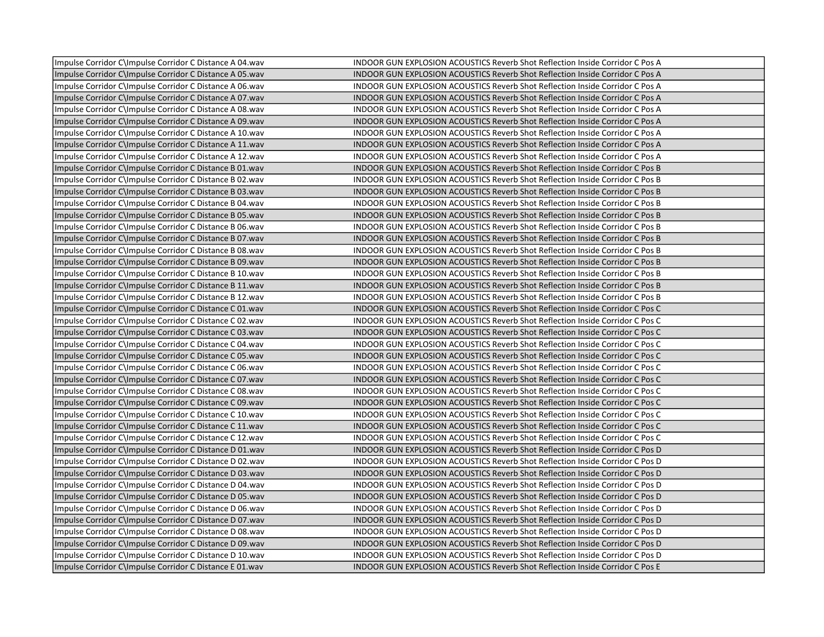| Impulse Corridor C\Impulse Corridor C Distance A 04.wav | <b>INDOOR GUN EXPLOSION ACOUSTICS Reverb Shot Reflection Inside Corridor C Pos A</b> |
|---------------------------------------------------------|--------------------------------------------------------------------------------------|
| Impulse Corridor C\Impulse Corridor C Distance A 05.wav | INDOOR GUN EXPLOSION ACOUSTICS Reverb Shot Reflection Inside Corridor C Pos A        |
| Impulse Corridor C\Impulse Corridor C Distance A 06.wav | INDOOR GUN EXPLOSION ACOUSTICS Reverb Shot Reflection Inside Corridor C Pos A        |
| Impulse Corridor C\Impulse Corridor C Distance A 07.wav | <b>INDOOR GUN EXPLOSION ACOUSTICS Reverb Shot Reflection Inside Corridor C Pos A</b> |
| Impulse Corridor C\Impulse Corridor C Distance A 08.wav | INDOOR GUN EXPLOSION ACOUSTICS Reverb Shot Reflection Inside Corridor C Pos A        |
| Impulse Corridor C\Impulse Corridor C Distance A 09.wav | INDOOR GUN EXPLOSION ACOUSTICS Reverb Shot Reflection Inside Corridor C Pos A        |
| Impulse Corridor C\Impulse Corridor C Distance A 10.wav | INDOOR GUN EXPLOSION ACOUSTICS Reverb Shot Reflection Inside Corridor C Pos A        |
| Impulse Corridor C\Impulse Corridor C Distance A 11.wav | <b>INDOOR GUN EXPLOSION ACOUSTICS Reverb Shot Reflection Inside Corridor C Pos A</b> |
| Impulse Corridor C\Impulse Corridor C Distance A 12.wav | INDOOR GUN EXPLOSION ACOUSTICS Reverb Shot Reflection Inside Corridor C Pos A        |
| Impulse Corridor C\Impulse Corridor C Distance B 01.wav | <b>INDOOR GUN EXPLOSION ACOUSTICS Reverb Shot Reflection Inside Corridor C Pos B</b> |
| Impulse Corridor C\Impulse Corridor C Distance B 02.wav | INDOOR GUN EXPLOSION ACOUSTICS Reverb Shot Reflection Inside Corridor C Pos B        |
| Impulse Corridor C\Impulse Corridor C Distance B 03.wav | <b>INDOOR GUN EXPLOSION ACOUSTICS Reverb Shot Reflection Inside Corridor C Pos B</b> |
| Impulse Corridor C\Impulse Corridor C Distance B 04.wav | INDOOR GUN EXPLOSION ACOUSTICS Reverb Shot Reflection Inside Corridor C Pos B        |
| Impulse Corridor C\Impulse Corridor C Distance B 05.wav | INDOOR GUN EXPLOSION ACOUSTICS Reverb Shot Reflection Inside Corridor C Pos B        |
| Impulse Corridor C\Impulse Corridor C Distance B 06.wav | INDOOR GUN EXPLOSION ACOUSTICS Reverb Shot Reflection Inside Corridor C Pos B        |
| Impulse Corridor C\Impulse Corridor C Distance B 07.wav | INDOOR GUN EXPLOSION ACOUSTICS Reverb Shot Reflection Inside Corridor C Pos B        |
| Impulse Corridor C\Impulse Corridor C Distance B 08.wav | INDOOR GUN EXPLOSION ACOUSTICS Reverb Shot Reflection Inside Corridor C Pos B        |
| Impulse Corridor C\Impulse Corridor C Distance B 09.wav | <b>INDOOR GUN EXPLOSION ACOUSTICS Reverb Shot Reflection Inside Corridor C Pos B</b> |
| Impulse Corridor C\Impulse Corridor C Distance B 10.wav | INDOOR GUN EXPLOSION ACOUSTICS Reverb Shot Reflection Inside Corridor C Pos B        |
| Impulse Corridor C\Impulse Corridor C Distance B 11.wav | <b>INDOOR GUN EXPLOSION ACOUSTICS Reverb Shot Reflection Inside Corridor C Pos B</b> |
| Impulse Corridor C\Impulse Corridor C Distance B 12.wav | INDOOR GUN EXPLOSION ACOUSTICS Reverb Shot Reflection Inside Corridor C Pos B        |
| Impulse Corridor C\Impulse Corridor C Distance C 01.wav | <b>INDOOR GUN EXPLOSION ACOUSTICS Reverb Shot Reflection Inside Corridor C Pos C</b> |
| Impulse Corridor C\Impulse Corridor C Distance C 02.wav | INDOOR GUN EXPLOSION ACOUSTICS Reverb Shot Reflection Inside Corridor C Pos C        |
| Impulse Corridor C\Impulse Corridor C Distance C 03.wav | <b>INDOOR GUN EXPLOSION ACOUSTICS Reverb Shot Reflection Inside Corridor C Pos C</b> |
| Impulse Corridor C\Impulse Corridor C Distance C 04.wav | INDOOR GUN EXPLOSION ACOUSTICS Reverb Shot Reflection Inside Corridor C Pos C        |
| Impulse Corridor C\Impulse Corridor C Distance C 05.wav | INDOOR GUN EXPLOSION ACOUSTICS Reverb Shot Reflection Inside Corridor C Pos C        |
| Impulse Corridor C\Impulse Corridor C Distance C 06.wav | INDOOR GUN EXPLOSION ACOUSTICS Reverb Shot Reflection Inside Corridor C Pos C        |
| Impulse Corridor C\Impulse Corridor C Distance C 07.wav | INDOOR GUN EXPLOSION ACOUSTICS Reverb Shot Reflection Inside Corridor C Pos C        |
| Impulse Corridor C\Impulse Corridor C Distance C 08.wav | INDOOR GUN EXPLOSION ACOUSTICS Reverb Shot Reflection Inside Corridor C Pos C        |
| Impulse Corridor C\Impulse Corridor C Distance C 09.wav | <b>INDOOR GUN EXPLOSION ACOUSTICS Reverb Shot Reflection Inside Corridor C Pos C</b> |
| Impulse Corridor C\Impulse Corridor C Distance C 10.wav | INDOOR GUN EXPLOSION ACOUSTICS Reverb Shot Reflection Inside Corridor C Pos C        |
| Impulse Corridor C\Impulse Corridor C Distance C 11.wav | INDOOR GUN EXPLOSION ACOUSTICS Reverb Shot Reflection Inside Corridor C Pos C        |
| Impulse Corridor C\Impulse Corridor C Distance C 12.wav | INDOOR GUN EXPLOSION ACOUSTICS Reverb Shot Reflection Inside Corridor C Pos C        |
| Impulse Corridor C\Impulse Corridor C Distance D 01.wav | INDOOR GUN EXPLOSION ACOUSTICS Reverb Shot Reflection Inside Corridor C Pos D        |
| Impulse Corridor C\Impulse Corridor C Distance D 02.wav | INDOOR GUN EXPLOSION ACOUSTICS Reverb Shot Reflection Inside Corridor C Pos D        |
| Impulse Corridor C\Impulse Corridor C Distance D 03.wav | INDOOR GUN EXPLOSION ACOUSTICS Reverb Shot Reflection Inside Corridor C Pos D        |
| Impulse Corridor C\Impulse Corridor C Distance D 04.wav | INDOOR GUN EXPLOSION ACOUSTICS Reverb Shot Reflection Inside Corridor C Pos D        |
| Impulse Corridor C\Impulse Corridor C Distance D 05.wav | INDOOR GUN EXPLOSION ACOUSTICS Reverb Shot Reflection Inside Corridor C Pos D        |
| Impulse Corridor C\Impulse Corridor C Distance D 06.wav | INDOOR GUN EXPLOSION ACOUSTICS Reverb Shot Reflection Inside Corridor C Pos D        |
| Impulse Corridor C\Impulse Corridor C Distance D 07.wav | <b>INDOOR GUN EXPLOSION ACOUSTICS Reverb Shot Reflection Inside Corridor C Pos D</b> |
| Impulse Corridor C\Impulse Corridor C Distance D 08.wav | INDOOR GUN EXPLOSION ACOUSTICS Reverb Shot Reflection Inside Corridor C Pos D        |
| Impulse Corridor C\Impulse Corridor C Distance D 09.wav | INDOOR GUN EXPLOSION ACOUSTICS Reverb Shot Reflection Inside Corridor C Pos D        |
| Impulse Corridor C\Impulse Corridor C Distance D 10.wav | INDOOR GUN EXPLOSION ACOUSTICS Reverb Shot Reflection Inside Corridor C Pos D        |
| Impulse Corridor C\Impulse Corridor C Distance E 01.wav | <b>INDOOR GUN EXPLOSION ACOUSTICS Reverb Shot Reflection Inside Corridor C Pos E</b> |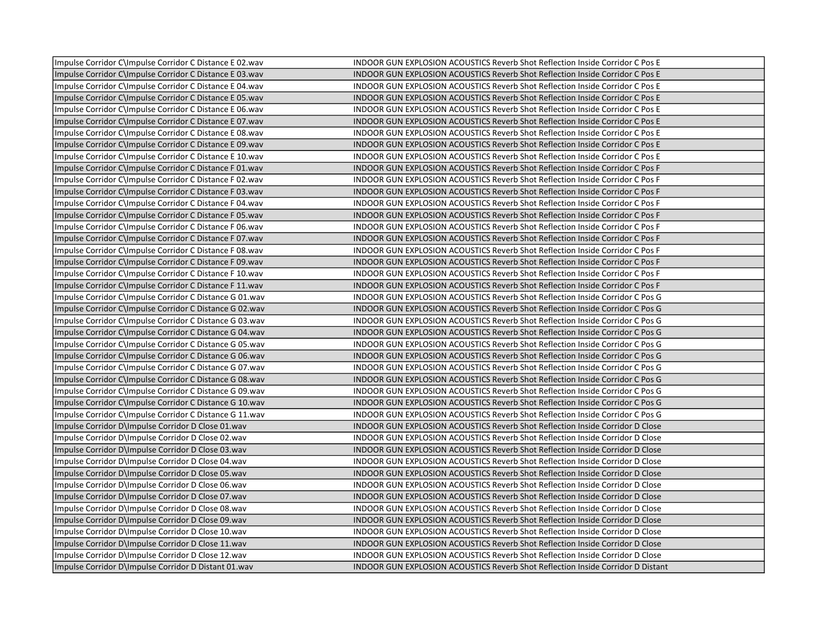| Impulse Corridor C\Impulse Corridor C Distance E 02.wav | INDOOR GUN EXPLOSION ACOUSTICS Reverb Shot Reflection Inside Corridor C Pos E          |
|---------------------------------------------------------|----------------------------------------------------------------------------------------|
| Impulse Corridor C\Impulse Corridor C Distance E 03.wav | <b>INDOOR GUN EXPLOSION ACOUSTICS Reverb Shot Reflection Inside Corridor C Pos E</b>   |
| Impulse Corridor C\Impulse Corridor C Distance E 04.wav | INDOOR GUN EXPLOSION ACOUSTICS Reverb Shot Reflection Inside Corridor C Pos E          |
| Impulse Corridor C\Impulse Corridor C Distance E 05.wav | <b>INDOOR GUN EXPLOSION ACOUSTICS Reverb Shot Reflection Inside Corridor C Pos E</b>   |
| Impulse Corridor C\Impulse Corridor C Distance E 06.wav | INDOOR GUN EXPLOSION ACOUSTICS Reverb Shot Reflection Inside Corridor C Pos E          |
| Impulse Corridor C\Impulse Corridor C Distance E 07.wav | <b>INDOOR GUN EXPLOSION ACOUSTICS Reverb Shot Reflection Inside Corridor C Pos E</b>   |
| Impulse Corridor C\Impulse Corridor C Distance E 08.wav | INDOOR GUN EXPLOSION ACOUSTICS Reverb Shot Reflection Inside Corridor C Pos E          |
| Impulse Corridor C\Impulse Corridor C Distance E 09.wav | INDOOR GUN EXPLOSION ACOUSTICS Reverb Shot Reflection Inside Corridor C Pos E          |
| Impulse Corridor C\Impulse Corridor C Distance E 10.wav | <b>INDOOR GUN EXPLOSION ACOUSTICS Reverb Shot Reflection Inside Corridor C Pos E</b>   |
| Impulse Corridor C\Impulse Corridor C Distance F 01.wav | INDOOR GUN EXPLOSION ACOUSTICS Reverb Shot Reflection Inside Corridor C Pos F          |
| Impulse Corridor C\Impulse Corridor C Distance F 02.wav | INDOOR GUN EXPLOSION ACOUSTICS Reverb Shot Reflection Inside Corridor C Pos F          |
| Impulse Corridor C\Impulse Corridor C Distance F 03.wav | INDOOR GUN EXPLOSION ACOUSTICS Reverb Shot Reflection Inside Corridor C Pos F          |
| Impulse Corridor C\Impulse Corridor C Distance F 04.wav | INDOOR GUN EXPLOSION ACOUSTICS Reverb Shot Reflection Inside Corridor C Pos F          |
| Impulse Corridor C\Impulse Corridor C Distance F 05.wav | INDOOR GUN EXPLOSION ACOUSTICS Reverb Shot Reflection Inside Corridor C Pos F          |
| Impulse Corridor C\Impulse Corridor C Distance F 06.wav | <b>INDOOR GUN EXPLOSION ACOUSTICS Reverb Shot Reflection Inside Corridor C Pos F</b>   |
| Impulse Corridor C\Impulse Corridor C Distance F 07.wav | INDOOR GUN EXPLOSION ACOUSTICS Reverb Shot Reflection Inside Corridor C Pos F          |
| Impulse Corridor C\Impulse Corridor C Distance F 08.wav | INDOOR GUN EXPLOSION ACOUSTICS Reverb Shot Reflection Inside Corridor C Pos F          |
| Impulse Corridor C\Impulse Corridor C Distance F 09.wav | INDOOR GUN EXPLOSION ACOUSTICS Reverb Shot Reflection Inside Corridor C Pos F          |
| Impulse Corridor C\Impulse Corridor C Distance F 10.wav | INDOOR GUN EXPLOSION ACOUSTICS Reverb Shot Reflection Inside Corridor C Pos F          |
| Impulse Corridor C\Impulse Corridor C Distance F 11.wav | INDOOR GUN EXPLOSION ACOUSTICS Reverb Shot Reflection Inside Corridor C Pos F          |
| Impulse Corridor C\Impulse Corridor C Distance G 01.wav | INDOOR GUN EXPLOSION ACOUSTICS Reverb Shot Reflection Inside Corridor C Pos G          |
| Impulse Corridor C\Impulse Corridor C Distance G 02.wav | <b>INDOOR GUN EXPLOSION ACOUSTICS Reverb Shot Reflection Inside Corridor C Pos G</b>   |
| Impulse Corridor C\Impulse Corridor C Distance G 03.wav | INDOOR GUN EXPLOSION ACOUSTICS Reverb Shot Reflection Inside Corridor C Pos G          |
| Impulse Corridor C\Impulse Corridor C Distance G 04.wav | INDOOR GUN EXPLOSION ACOUSTICS Reverb Shot Reflection Inside Corridor C Pos G          |
| Impulse Corridor C\Impulse Corridor C Distance G 05.wav | INDOOR GUN EXPLOSION ACOUSTICS Reverb Shot Reflection Inside Corridor C Pos G          |
| Impulse Corridor C\Impulse Corridor C Distance G 06.wav | INDOOR GUN EXPLOSION ACOUSTICS Reverb Shot Reflection Inside Corridor C Pos G          |
| Impulse Corridor C\Impulse Corridor C Distance G 07.wav | INDOOR GUN EXPLOSION ACOUSTICS Reverb Shot Reflection Inside Corridor C Pos G          |
| Impulse Corridor C\Impulse Corridor C Distance G 08.wav | INDOOR GUN EXPLOSION ACOUSTICS Reverb Shot Reflection Inside Corridor C Pos G          |
| Impulse Corridor C\Impulse Corridor C Distance G 09.wav | INDOOR GUN EXPLOSION ACOUSTICS Reverb Shot Reflection Inside Corridor C Pos G          |
| Impulse Corridor C\Impulse Corridor C Distance G 10.wav | <b>INDOOR GUN EXPLOSION ACOUSTICS Reverb Shot Reflection Inside Corridor C Pos G</b>   |
| Impulse Corridor C\Impulse Corridor C Distance G 11.wav | INDOOR GUN EXPLOSION ACOUSTICS Reverb Shot Reflection Inside Corridor C Pos G          |
| Impulse Corridor D\Impulse Corridor D Close 01.wav      | INDOOR GUN EXPLOSION ACOUSTICS Reverb Shot Reflection Inside Corridor D Close          |
| Impulse Corridor D\Impulse Corridor D Close 02.wav      | INDOOR GUN EXPLOSION ACOUSTICS Reverb Shot Reflection Inside Corridor D Close          |
| Impulse Corridor D\Impulse Corridor D Close 03.wav      | <b>INDOOR GUN EXPLOSION ACOUSTICS Reverb Shot Reflection Inside Corridor D Close</b>   |
| Impulse Corridor D\Impulse Corridor D Close 04.wav      | INDOOR GUN EXPLOSION ACOUSTICS Reverb Shot Reflection Inside Corridor D Close          |
| Impulse Corridor D\Impulse Corridor D Close 05.wav      | <b>INDOOR GUN EXPLOSION ACOUSTICS Reverb Shot Reflection Inside Corridor D Close</b>   |
| Impulse Corridor D\Impulse Corridor D Close 06.wav      | INDOOR GUN EXPLOSION ACOUSTICS Reverb Shot Reflection Inside Corridor D Close          |
| Impulse Corridor D\Impulse Corridor D Close 07.wav      | <b>INDOOR GUN EXPLOSION ACOUSTICS Reverb Shot Reflection Inside Corridor D Close</b>   |
| Impulse Corridor D\Impulse Corridor D Close 08.wav      | INDOOR GUN EXPLOSION ACOUSTICS Reverb Shot Reflection Inside Corridor D Close          |
| Impulse Corridor D\Impulse Corridor D Close 09.wav      | <b>INDOOR GUN EXPLOSION ACOUSTICS Reverb Shot Reflection Inside Corridor D Close</b>   |
| Impulse Corridor D\Impulse Corridor D Close 10.wav      | INDOOR GUN EXPLOSION ACOUSTICS Reverb Shot Reflection Inside Corridor D Close          |
| Impulse Corridor D\Impulse Corridor D Close 11.wav      | <b>INDOOR GUN EXPLOSION ACOUSTICS Reverb Shot Reflection Inside Corridor D Close</b>   |
| Impulse Corridor D\Impulse Corridor D Close 12.wav      | INDOOR GUN EXPLOSION ACOUSTICS Reverb Shot Reflection Inside Corridor D Close          |
| Impulse Corridor D\Impulse Corridor D Distant 01.wav    | <b>INDOOR GUN EXPLOSION ACOUSTICS Reverb Shot Reflection Inside Corridor D Distant</b> |
|                                                         |                                                                                        |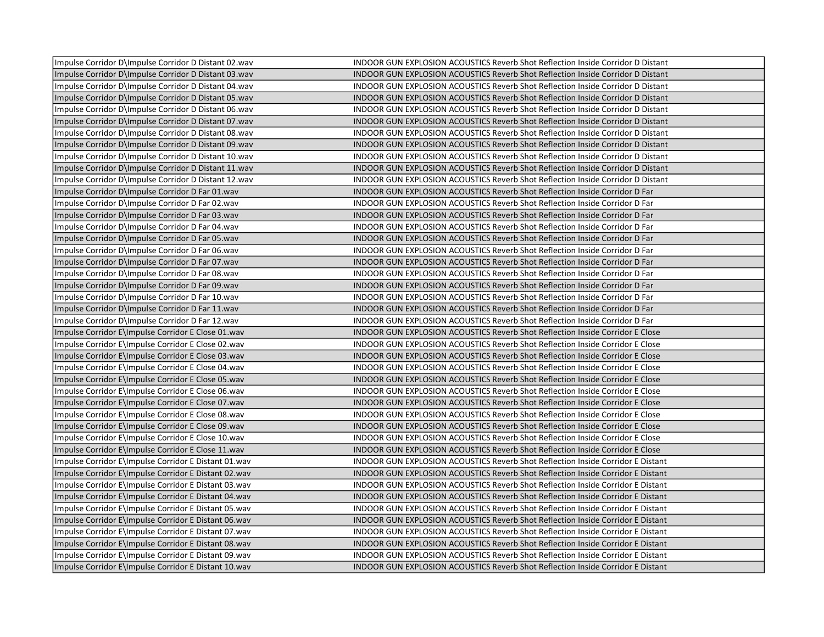| Impulse Corridor D\Impulse Corridor D Distant 02.wav | INDOOR GUN EXPLOSION ACOUSTICS Reverb Shot Reflection Inside Corridor D Distant        |
|------------------------------------------------------|----------------------------------------------------------------------------------------|
| Impulse Corridor D\Impulse Corridor D Distant 03.wav | <b>INDOOR GUN EXPLOSION ACOUSTICS Reverb Shot Reflection Inside Corridor D Distant</b> |
| Impulse Corridor D\Impulse Corridor D Distant 04.wav | <b>INDOOR GUN EXPLOSION ACOUSTICS Reverb Shot Reflection Inside Corridor D Distant</b> |
| Impulse Corridor D\Impulse Corridor D Distant 05.wav | <b>INDOOR GUN EXPLOSION ACOUSTICS Reverb Shot Reflection Inside Corridor D Distant</b> |
| Impulse Corridor D\Impulse Corridor D Distant 06.wav | <b>INDOOR GUN EXPLOSION ACOUSTICS Reverb Shot Reflection Inside Corridor D Distant</b> |
| Impulse Corridor D\Impulse Corridor D Distant 07.wav | <b>INDOOR GUN EXPLOSION ACOUSTICS Reverb Shot Reflection Inside Corridor D Distant</b> |
| Impulse Corridor D\Impulse Corridor D Distant 08.wav | <b>INDOOR GUN EXPLOSION ACOUSTICS Reverb Shot Reflection Inside Corridor D Distant</b> |
| Impulse Corridor D\Impulse Corridor D Distant 09.wav | INDOOR GUN EXPLOSION ACOUSTICS Reverb Shot Reflection Inside Corridor D Distant        |
| Impulse Corridor D\Impulse Corridor D Distant 10.wav | <b>INDOOR GUN EXPLOSION ACOUSTICS Reverb Shot Reflection Inside Corridor D Distant</b> |
| Impulse Corridor D\Impulse Corridor D Distant 11.wav | <b>INDOOR GUN EXPLOSION ACOUSTICS Reverb Shot Reflection Inside Corridor D Distant</b> |
| Impulse Corridor D\Impulse Corridor D Distant 12.wav | <b>INDOOR GUN EXPLOSION ACOUSTICS Reverb Shot Reflection Inside Corridor D Distant</b> |
| Impulse Corridor D\Impulse Corridor D Far 01.wav     | INDOOR GUN EXPLOSION ACOUSTICS Reverb Shot Reflection Inside Corridor D Far            |
| Impulse Corridor D\Impulse Corridor D Far 02.wav     | INDOOR GUN EXPLOSION ACOUSTICS Reverb Shot Reflection Inside Corridor D Far            |
| Impulse Corridor D\Impulse Corridor D Far 03.wav     | INDOOR GUN EXPLOSION ACOUSTICS Reverb Shot Reflection Inside Corridor D Far            |
| Impulse Corridor D\Impulse Corridor D Far 04.wav     | INDOOR GUN EXPLOSION ACOUSTICS Reverb Shot Reflection Inside Corridor D Far            |
| Impulse Corridor D\Impulse Corridor D Far 05.wav     | INDOOR GUN EXPLOSION ACOUSTICS Reverb Shot Reflection Inside Corridor D Far            |
| Impulse Corridor D\Impulse Corridor D Far 06.wav     | INDOOR GUN EXPLOSION ACOUSTICS Reverb Shot Reflection Inside Corridor D Far            |
| Impulse Corridor D\Impulse Corridor D Far 07.wav     | INDOOR GUN EXPLOSION ACOUSTICS Reverb Shot Reflection Inside Corridor D Far            |
| Impulse Corridor D\Impulse Corridor D Far 08.wav     | INDOOR GUN EXPLOSION ACOUSTICS Reverb Shot Reflection Inside Corridor D Far            |
| Impulse Corridor D\Impulse Corridor D Far 09.wav     | INDOOR GUN EXPLOSION ACOUSTICS Reverb Shot Reflection Inside Corridor D Far            |
| Impulse Corridor D\Impulse Corridor D Far 10.wav     | INDOOR GUN EXPLOSION ACOUSTICS Reverb Shot Reflection Inside Corridor D Far            |
| Impulse Corridor D\Impulse Corridor D Far 11.wav     | <b>INDOOR GUN EXPLOSION ACOUSTICS Reverb Shot Reflection Inside Corridor D Far</b>     |
| Impulse Corridor D\Impulse Corridor D Far 12.wav     | INDOOR GUN EXPLOSION ACOUSTICS Reverb Shot Reflection Inside Corridor D Far            |
| Impulse Corridor E\Impulse Corridor E Close 01.wav   | <b>INDOOR GUN EXPLOSION ACOUSTICS Reverb Shot Reflection Inside Corridor E Close</b>   |
| Impulse Corridor E\Impulse Corridor E Close 02.wav   | INDOOR GUN EXPLOSION ACOUSTICS Reverb Shot Reflection Inside Corridor E Close          |
| Impulse Corridor E\Impulse Corridor E Close 03.wav   | <b>INDOOR GUN EXPLOSION ACOUSTICS Reverb Shot Reflection Inside Corridor E Close</b>   |
| Impulse Corridor E\Impulse Corridor E Close 04.wav   | <b>INDOOR GUN EXPLOSION ACOUSTICS Reverb Shot Reflection Inside Corridor E Close</b>   |
| Impulse Corridor E\Impulse Corridor E Close 05.wav   | INDOOR GUN EXPLOSION ACOUSTICS Reverb Shot Reflection Inside Corridor E Close          |
| Impulse Corridor E\Impulse Corridor E Close 06.wav   | INDOOR GUN EXPLOSION ACOUSTICS Reverb Shot Reflection Inside Corridor E Close          |
| Impulse Corridor E\Impulse Corridor E Close 07.wav   | INDOOR GUN EXPLOSION ACOUSTICS Reverb Shot Reflection Inside Corridor E Close          |
| Impulse Corridor E\Impulse Corridor E Close 08.wav   | <b>INDOOR GUN EXPLOSION ACOUSTICS Reverb Shot Reflection Inside Corridor E Close</b>   |
| Impulse Corridor E\Impulse Corridor E Close 09.wav   | <b>INDOOR GUN EXPLOSION ACOUSTICS Reverb Shot Reflection Inside Corridor E Close</b>   |
| Impulse Corridor E\Impulse Corridor E Close 10.wav   | INDOOR GUN EXPLOSION ACOUSTICS Reverb Shot Reflection Inside Corridor E Close          |
| Impulse Corridor E\Impulse Corridor E Close 11.wav   | INDOOR GUN EXPLOSION ACOUSTICS Reverb Shot Reflection Inside Corridor E Close          |
| Impulse Corridor E\Impulse Corridor E Distant 01.wav | INDOOR GUN EXPLOSION ACOUSTICS Reverb Shot Reflection Inside Corridor E Distant        |
| Impulse Corridor E\Impulse Corridor E Distant 02.wav | INDOOR GUN EXPLOSION ACOUSTICS Reverb Shot Reflection Inside Corridor E Distant        |
| Impulse Corridor E\Impulse Corridor E Distant 03.wav | INDOOR GUN EXPLOSION ACOUSTICS Reverb Shot Reflection Inside Corridor E Distant        |
| Impulse Corridor E\Impulse Corridor E Distant 04.wav | <b>INDOOR GUN EXPLOSION ACOUSTICS Reverb Shot Reflection Inside Corridor E Distant</b> |
| Impulse Corridor E\Impulse Corridor E Distant 05.wav | <b>INDOOR GUN EXPLOSION ACOUSTICS Reverb Shot Reflection Inside Corridor E Distant</b> |
| Impulse Corridor E\Impulse Corridor E Distant 06.wav | <b>INDOOR GUN EXPLOSION ACOUSTICS Reverb Shot Reflection Inside Corridor E Distant</b> |
| Impulse Corridor E\Impulse Corridor E Distant 07.wav | <b>INDOOR GUN EXPLOSION ACOUSTICS Reverb Shot Reflection Inside Corridor E Distant</b> |
| Impulse Corridor E\Impulse Corridor E Distant 08.wav | <b>INDOOR GUN EXPLOSION ACOUSTICS Reverb Shot Reflection Inside Corridor E Distant</b> |
| Impulse Corridor E\Impulse Corridor E Distant 09.wav | INDOOR GUN EXPLOSION ACOUSTICS Reverb Shot Reflection Inside Corridor E Distant        |
| Impulse Corridor E\Impulse Corridor E Distant 10.wav | <b>INDOOR GUN EXPLOSION ACOUSTICS Reverb Shot Reflection Inside Corridor E Distant</b> |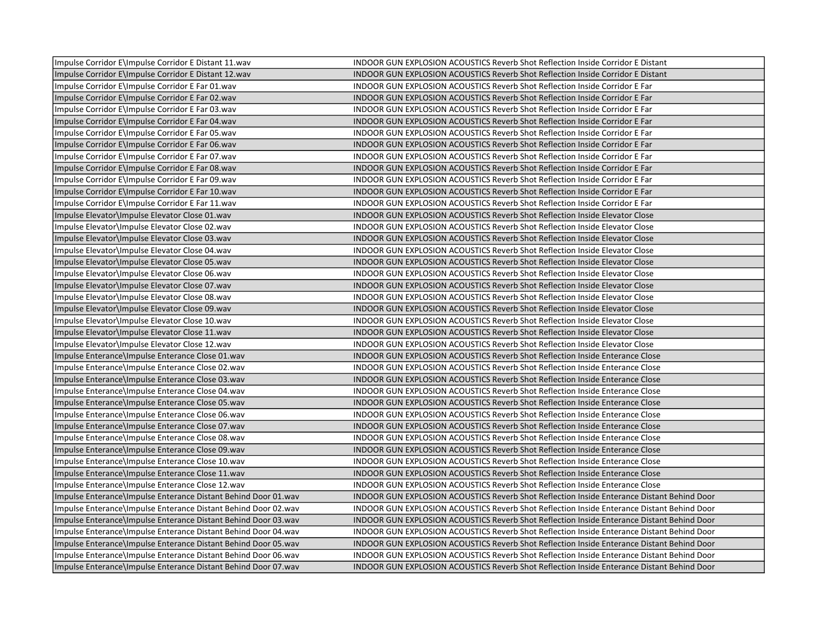| Impulse Corridor E\Impulse Corridor E Distant 11.wav           | INDOOR GUN EXPLOSION ACOUSTICS Reverb Shot Reflection Inside Corridor E Distant            |
|----------------------------------------------------------------|--------------------------------------------------------------------------------------------|
| Impulse Corridor E\Impulse Corridor E Distant 12.wav           | <b>INDOOR GUN EXPLOSION ACOUSTICS Reverb Shot Reflection Inside Corridor E Distant</b>     |
| Impulse Corridor E\Impulse Corridor E Far 01.wav               | INDOOR GUN EXPLOSION ACOUSTICS Reverb Shot Reflection Inside Corridor E Far                |
| Impulse Corridor E\Impulse Corridor E Far 02.wav               | <b>INDOOR GUN EXPLOSION ACOUSTICS Reverb Shot Reflection Inside Corridor E Far</b>         |
| Impulse Corridor E\Impulse Corridor E Far 03.wav               | INDOOR GUN EXPLOSION ACOUSTICS Reverb Shot Reflection Inside Corridor E Far                |
| Impulse Corridor E\Impulse Corridor E Far 04.wav               | <b>INDOOR GUN EXPLOSION ACOUSTICS Reverb Shot Reflection Inside Corridor E Far</b>         |
| Impulse Corridor E\Impulse Corridor E Far 05.wav               | <b>INDOOR GUN EXPLOSION ACOUSTICS Reverb Shot Reflection Inside Corridor E Far</b>         |
| Impulse Corridor E\Impulse Corridor E Far 06.wav               | INDOOR GUN EXPLOSION ACOUSTICS Reverb Shot Reflection Inside Corridor E Far                |
| Impulse Corridor E\Impulse Corridor E Far 07.wav               | <b>INDOOR GUN EXPLOSION ACOUSTICS Reverb Shot Reflection Inside Corridor E Far</b>         |
| Impulse Corridor E\Impulse Corridor E Far 08.wav               | INDOOR GUN EXPLOSION ACOUSTICS Reverb Shot Reflection Inside Corridor E Far                |
| Impulse Corridor E\Impulse Corridor E Far 09.wav               | INDOOR GUN EXPLOSION ACOUSTICS Reverb Shot Reflection Inside Corridor E Far                |
| Impulse Corridor E\Impulse Corridor E Far 10.wav               | <b>INDOOR GUN EXPLOSION ACOUSTICS Reverb Shot Reflection Inside Corridor E Far</b>         |
| Impulse Corridor E\Impulse Corridor E Far 11.wav               | <b>INDOOR GUN EXPLOSION ACOUSTICS Reverb Shot Reflection Inside Corridor E Far</b>         |
| Impulse Elevator\Impulse Elevator Close 01.wav                 | INDOOR GUN EXPLOSION ACOUSTICS Reverb Shot Reflection Inside Elevator Close                |
| Impulse Elevator\Impulse Elevator Close 02.wav                 | INDOOR GUN EXPLOSION ACOUSTICS Reverb Shot Reflection Inside Elevator Close                |
| Impulse Elevator\Impulse Elevator Close 03.wav                 | <b>INDOOR GUN EXPLOSION ACOUSTICS Reverb Shot Reflection Inside Elevator Close</b>         |
| Impulse Elevator\Impulse Elevator Close 04.wav                 | <b>INDOOR GUN EXPLOSION ACOUSTICS Reverb Shot Reflection Inside Elevator Close</b>         |
| Impulse Elevator\Impulse Elevator Close 05.wav                 | <b>INDOOR GUN EXPLOSION ACOUSTICS Reverb Shot Reflection Inside Elevator Close</b>         |
| Impulse Elevator\Impulse Elevator Close 06.wav                 | INDOOR GUN EXPLOSION ACOUSTICS Reverb Shot Reflection Inside Elevator Close                |
| Impulse Elevator\Impulse Elevator Close 07.wav                 | <b>INDOOR GUN EXPLOSION ACOUSTICS Reverb Shot Reflection Inside Elevator Close</b>         |
| Impulse Elevator\Impulse Elevator Close 08.wav                 | INDOOR GUN EXPLOSION ACOUSTICS Reverb Shot Reflection Inside Elevator Close                |
| Impulse Elevator\Impulse Elevator Close 09.wav                 | <b>INDOOR GUN EXPLOSION ACOUSTICS Reverb Shot Reflection Inside Elevator Close</b>         |
| Impulse Elevator \Impulse Elevator Close 10. wav               | INDOOR GUN EXPLOSION ACOUSTICS Reverb Shot Reflection Inside Elevator Close                |
| Impulse Elevator\Impulse Elevator Close 11.wav                 | <b>INDOOR GUN EXPLOSION ACOUSTICS Reverb Shot Reflection Inside Elevator Close</b>         |
| Impulse Elevator\Impulse Elevator Close 12.wav                 | <b>INDOOR GUN EXPLOSION ACOUSTICS Reverb Shot Reflection Inside Elevator Close</b>         |
| Impulse Enterance\Impulse Enterance Close 01.wav               | <b>INDOOR GUN EXPLOSION ACOUSTICS Reverb Shot Reflection Inside Enterance Close</b>        |
| Impulse Enterance\Impulse Enterance Close 02.wav               | <b>INDOOR GUN EXPLOSION ACOUSTICS Reverb Shot Reflection Inside Enterance Close</b>        |
| Impulse Enterance\Impulse Enterance Close 03.wav               | INDOOR GUN EXPLOSION ACOUSTICS Reverb Shot Reflection Inside Enterance Close               |
| Impulse Enterance\Impulse Enterance Close 04.wav               | INDOOR GUN EXPLOSION ACOUSTICS Reverb Shot Reflection Inside Enterance Close               |
| Impulse Enterance\Impulse Enterance Close 05.wav               | INDOOR GUN EXPLOSION ACOUSTICS Reverb Shot Reflection Inside Enterance Close               |
| Impulse Enterance\Impulse Enterance Close 06.wav               | <b>INDOOR GUN EXPLOSION ACOUSTICS Reverb Shot Reflection Inside Enterance Close</b>        |
| Impulse Enterance\Impulse Enterance Close 07.wav               | <b>INDOOR GUN EXPLOSION ACOUSTICS Reverb Shot Reflection Inside Enterance Close</b>        |
| Impulse Enterance\Impulse Enterance Close 08.wav               | <b>INDOOR GUN EXPLOSION ACOUSTICS Reverb Shot Reflection Inside Enterance Close</b>        |
| Impulse Enterance\Impulse Enterance Close 09.wav               | <b>INDOOR GUN EXPLOSION ACOUSTICS Reverb Shot Reflection Inside Enterance Close</b>        |
| Impulse Enterance \Impulse Enterance Close 10.wav              | INDOOR GUN EXPLOSION ACOUSTICS Reverb Shot Reflection Inside Enterance Close               |
| Impulse Enterance\Impulse Enterance Close 11.wav               | INDOOR GUN EXPLOSION ACOUSTICS Reverb Shot Reflection Inside Enterance Close               |
| Impulse Enterance\Impulse Enterance Close 12.wav               | INDOOR GUN EXPLOSION ACOUSTICS Reverb Shot Reflection Inside Enterance Close               |
| Impulse Enterance\Impulse Enterance Distant Behind Door 01.wav | INDOOR GUN EXPLOSION ACOUSTICS Reverb Shot Reflection Inside Enterance Distant Behind Door |
| Impulse Enterance\Impulse Enterance Distant Behind Door 02.wav | INDOOR GUN EXPLOSION ACOUSTICS Reverb Shot Reflection Inside Enterance Distant Behind Door |
| Impulse Enterance\Impulse Enterance Distant Behind Door 03.wav | INDOOR GUN EXPLOSION ACOUSTICS Reverb Shot Reflection Inside Enterance Distant Behind Door |
| Impulse Enterance\Impulse Enterance Distant Behind Door 04.wav | INDOOR GUN EXPLOSION ACOUSTICS Reverb Shot Reflection Inside Enterance Distant Behind Door |
| Impulse Enterance\Impulse Enterance Distant Behind Door 05.wav | INDOOR GUN EXPLOSION ACOUSTICS Reverb Shot Reflection Inside Enterance Distant Behind Door |
| Impulse Enterance\Impulse Enterance Distant Behind Door 06.wav | INDOOR GUN EXPLOSION ACOUSTICS Reverb Shot Reflection Inside Enterance Distant Behind Door |
| Impulse Enterance\Impulse Enterance Distant Behind Door 07.wav | INDOOR GUN EXPLOSION ACOUSTICS Reverb Shot Reflection Inside Enterance Distant Behind Door |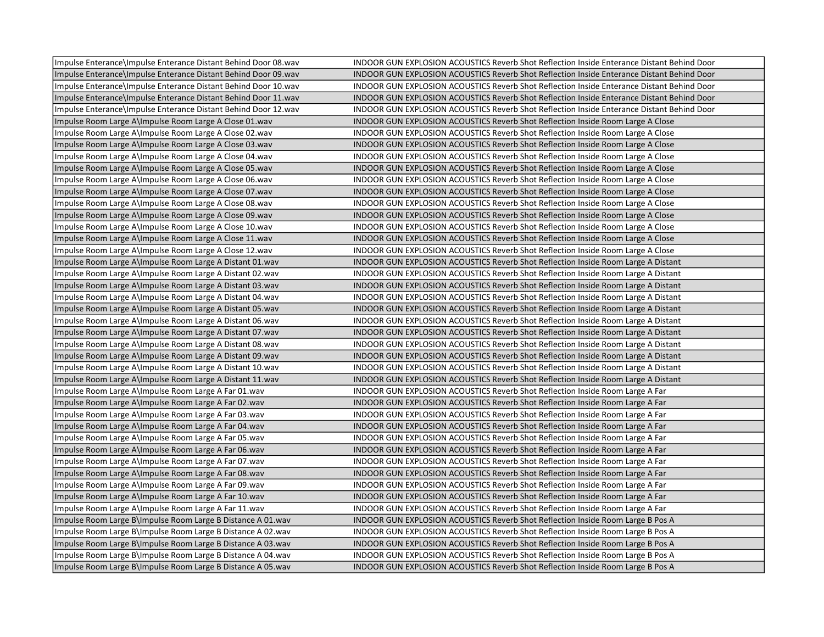| Impulse Enterance\Impulse Enterance Distant Behind Door 08.wav  | INDOOR GUN EXPLOSION ACOUSTICS Reverb Shot Reflection Inside Enterance Distant Behind Door |
|-----------------------------------------------------------------|--------------------------------------------------------------------------------------------|
| Impulse Enterance\Impulse Enterance Distant Behind Door 09.wav  | INDOOR GUN EXPLOSION ACOUSTICS Reverb Shot Reflection Inside Enterance Distant Behind Door |
| Impulse Enterance\Impulse Enterance Distant Behind Door 10. wav | INDOOR GUN EXPLOSION ACOUSTICS Reverb Shot Reflection Inside Enterance Distant Behind Door |
| Impulse Enterance\Impulse Enterance Distant Behind Door 11. wav | INDOOR GUN EXPLOSION ACOUSTICS Reverb Shot Reflection Inside Enterance Distant Behind Door |
| Impulse Enterance\Impulse Enterance Distant Behind Door 12.wav  | INDOOR GUN EXPLOSION ACOUSTICS Reverb Shot Reflection Inside Enterance Distant Behind Door |
| Impulse Room Large A\Impulse Room Large A Close 01.wav          | INDOOR GUN EXPLOSION ACOUSTICS Reverb Shot Reflection Inside Room Large A Close            |
| Impulse Room Large A\Impulse Room Large A Close 02.wav          | INDOOR GUN EXPLOSION ACOUSTICS Reverb Shot Reflection Inside Room Large A Close            |
| Impulse Room Large A\Impulse Room Large A Close 03.wav          | INDOOR GUN EXPLOSION ACOUSTICS Reverb Shot Reflection Inside Room Large A Close            |
| Impulse Room Large A\Impulse Room Large A Close 04.wav          | INDOOR GUN EXPLOSION ACOUSTICS Reverb Shot Reflection Inside Room Large A Close            |
| Impulse Room Large A\Impulse Room Large A Close 05.wav          | INDOOR GUN EXPLOSION ACOUSTICS Reverb Shot Reflection Inside Room Large A Close            |
| Impulse Room Large A\Impulse Room Large A Close 06.wav          | INDOOR GUN EXPLOSION ACOUSTICS Reverb Shot Reflection Inside Room Large A Close            |
| Impulse Room Large A\Impulse Room Large A Close 07.wav          | INDOOR GUN EXPLOSION ACOUSTICS Reverb Shot Reflection Inside Room Large A Close            |
| Impulse Room Large A\Impulse Room Large A Close 08.wav          | INDOOR GUN EXPLOSION ACOUSTICS Reverb Shot Reflection Inside Room Large A Close            |
| Impulse Room Large A\Impulse Room Large A Close 09.wav          | INDOOR GUN EXPLOSION ACOUSTICS Reverb Shot Reflection Inside Room Large A Close            |
| Impulse Room Large A\Impulse Room Large A Close 10.wav          | INDOOR GUN EXPLOSION ACOUSTICS Reverb Shot Reflection Inside Room Large A Close            |
| Impulse Room Large A\Impulse Room Large A Close 11.wav          | INDOOR GUN EXPLOSION ACOUSTICS Reverb Shot Reflection Inside Room Large A Close            |
| Impulse Room Large A\Impulse Room Large A Close 12.wav          | INDOOR GUN EXPLOSION ACOUSTICS Reverb Shot Reflection Inside Room Large A Close            |
| Impulse Room Large A\Impulse Room Large A Distant 01.wav        | INDOOR GUN EXPLOSION ACOUSTICS Reverb Shot Reflection Inside Room Large A Distant          |
| Impulse Room Large A\Impulse Room Large A Distant 02.wav        | INDOOR GUN EXPLOSION ACOUSTICS Reverb Shot Reflection Inside Room Large A Distant          |
| Impulse Room Large A\Impulse Room Large A Distant 03.wav        | INDOOR GUN EXPLOSION ACOUSTICS Reverb Shot Reflection Inside Room Large A Distant          |
| Impulse Room Large A\Impulse Room Large A Distant 04.wav        | INDOOR GUN EXPLOSION ACOUSTICS Reverb Shot Reflection Inside Room Large A Distant          |
| Impulse Room Large A\Impulse Room Large A Distant 05.wav        | INDOOR GUN EXPLOSION ACOUSTICS Reverb Shot Reflection Inside Room Large A Distant          |
| Impulse Room Large A\Impulse Room Large A Distant 06.wav        | INDOOR GUN EXPLOSION ACOUSTICS Reverb Shot Reflection Inside Room Large A Distant          |
| Impulse Room Large A\Impulse Room Large A Distant 07.wav        | INDOOR GUN EXPLOSION ACOUSTICS Reverb Shot Reflection Inside Room Large A Distant          |
| Impulse Room Large A\Impulse Room Large A Distant 08.wav        | INDOOR GUN EXPLOSION ACOUSTICS Reverb Shot Reflection Inside Room Large A Distant          |
| Impulse Room Large A\Impulse Room Large A Distant 09.wav        | INDOOR GUN EXPLOSION ACOUSTICS Reverb Shot Reflection Inside Room Large A Distant          |
| Impulse Room Large A\Impulse Room Large A Distant 10.wav        | INDOOR GUN EXPLOSION ACOUSTICS Reverb Shot Reflection Inside Room Large A Distant          |
| Impulse Room Large A\Impulse Room Large A Distant 11.wav        | INDOOR GUN EXPLOSION ACOUSTICS Reverb Shot Reflection Inside Room Large A Distant          |
| Impulse Room Large A\Impulse Room Large A Far 01.wav            | INDOOR GUN EXPLOSION ACOUSTICS Reverb Shot Reflection Inside Room Large A Far              |
| Impulse Room Large A\Impulse Room Large A Far 02.wav            | INDOOR GUN EXPLOSION ACOUSTICS Reverb Shot Reflection Inside Room Large A Far              |
| Impulse Room Large A\Impulse Room Large A Far 03.wav            | INDOOR GUN EXPLOSION ACOUSTICS Reverb Shot Reflection Inside Room Large A Far              |
| Impulse Room Large A\Impulse Room Large A Far 04.wav            | INDOOR GUN EXPLOSION ACOUSTICS Reverb Shot Reflection Inside Room Large A Far              |
| Impulse Room Large A\Impulse Room Large A Far 05.wav            | INDOOR GUN EXPLOSION ACOUSTICS Reverb Shot Reflection Inside Room Large A Far              |
| Impulse Room Large A\Impulse Room Large A Far 06.wav            | INDOOR GUN EXPLOSION ACOUSTICS Reverb Shot Reflection Inside Room Large A Far              |
| Impulse Room Large A\Impulse Room Large A Far 07.wav            | INDOOR GUN EXPLOSION ACOUSTICS Reverb Shot Reflection Inside Room Large A Far              |
| Impulse Room Large A\Impulse Room Large A Far 08.wav            | INDOOR GUN EXPLOSION ACOUSTICS Reverb Shot Reflection Inside Room Large A Far              |
| Impulse Room Large A\Impulse Room Large A Far 09.wav            | INDOOR GUN EXPLOSION ACOUSTICS Reverb Shot Reflection Inside Room Large A Far              |
| Impulse Room Large A\Impulse Room Large A Far 10.wav            | INDOOR GUN EXPLOSION ACOUSTICS Reverb Shot Reflection Inside Room Large A Far              |
| Impulse Room Large A\Impulse Room Large A Far 11.wav            | INDOOR GUN EXPLOSION ACOUSTICS Reverb Shot Reflection Inside Room Large A Far              |
| Impulse Room Large B\Impulse Room Large B Distance A 01.wav     | INDOOR GUN EXPLOSION ACOUSTICS Reverb Shot Reflection Inside Room Large B Pos A            |
| Impulse Room Large B\Impulse Room Large B Distance A 02.wav     | INDOOR GUN EXPLOSION ACOUSTICS Reverb Shot Reflection Inside Room Large B Pos A            |
| Impulse Room Large B\Impulse Room Large B Distance A 03.wav     | INDOOR GUN EXPLOSION ACOUSTICS Reverb Shot Reflection Inside Room Large B Pos A            |
| Impulse Room Large B\Impulse Room Large B Distance A 04.wav     | INDOOR GUN EXPLOSION ACOUSTICS Reverb Shot Reflection Inside Room Large B Pos A            |
| Impulse Room Large B\Impulse Room Large B Distance A 05.wav     | INDOOR GUN EXPLOSION ACOUSTICS Reverb Shot Reflection Inside Room Large B Pos A            |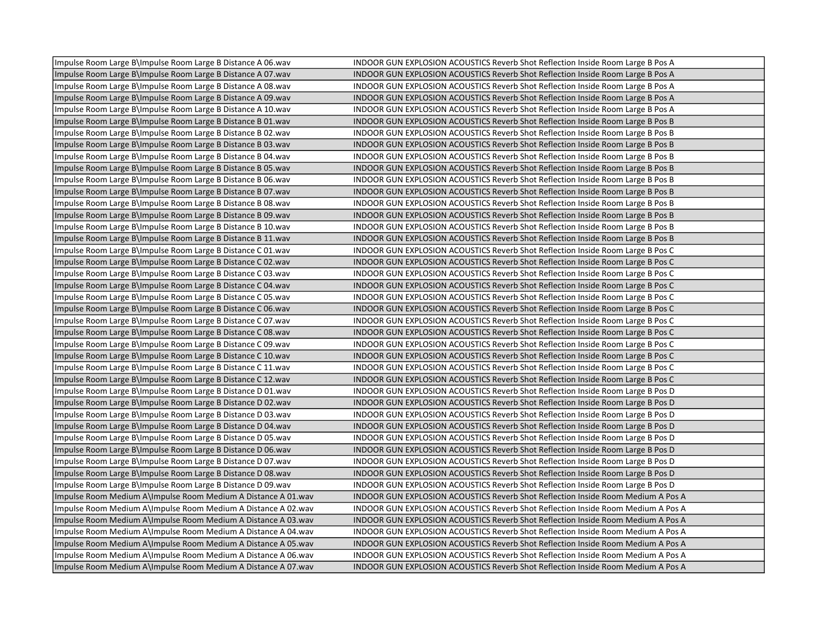| Impulse Room Large B\Impulse Room Large B Distance A 06.wav   | INDOOR GUN EXPLOSION ACOUSTICS Reverb Shot Reflection Inside Room Large B Pos A  |
|---------------------------------------------------------------|----------------------------------------------------------------------------------|
| Impulse Room Large B\Impulse Room Large B Distance A 07.wav   | INDOOR GUN EXPLOSION ACOUSTICS Reverb Shot Reflection Inside Room Large B Pos A  |
| Impulse Room Large B\Impulse Room Large B Distance A 08.wav   | INDOOR GUN EXPLOSION ACOUSTICS Reverb Shot Reflection Inside Room Large B Pos A  |
| Impulse Room Large B\Impulse Room Large B Distance A 09.wav   | INDOOR GUN EXPLOSION ACOUSTICS Reverb Shot Reflection Inside Room Large B Pos A  |
| Impulse Room Large B\Impulse Room Large B Distance A 10.wav   | INDOOR GUN EXPLOSION ACOUSTICS Reverb Shot Reflection Inside Room Large B Pos A  |
| Impulse Room Large B\Impulse Room Large B Distance B 01.wav   | INDOOR GUN EXPLOSION ACOUSTICS Reverb Shot Reflection Inside Room Large B Pos B  |
| Impulse Room Large B\Impulse Room Large B Distance B 02.wav   | INDOOR GUN EXPLOSION ACOUSTICS Reverb Shot Reflection Inside Room Large B Pos B  |
| Impulse Room Large B\Impulse Room Large B Distance B 03.wav   | INDOOR GUN EXPLOSION ACOUSTICS Reverb Shot Reflection Inside Room Large B Pos B  |
| Impulse Room Large B\Impulse Room Large B Distance B 04.wav   | INDOOR GUN EXPLOSION ACOUSTICS Reverb Shot Reflection Inside Room Large B Pos B  |
| Impulse Room Large B\Impulse Room Large B Distance B 05.wav   | INDOOR GUN EXPLOSION ACOUSTICS Reverb Shot Reflection Inside Room Large B Pos B  |
| Impulse Room Large B\Impulse Room Large B Distance B 06.wav   | INDOOR GUN EXPLOSION ACOUSTICS Reverb Shot Reflection Inside Room Large B Pos B  |
| Impulse Room Large B\Impulse Room Large B Distance B 07.wav   | INDOOR GUN EXPLOSION ACOUSTICS Reverb Shot Reflection Inside Room Large B Pos B  |
| Impulse Room Large B\Impulse Room Large B Distance B 08.wav   | INDOOR GUN EXPLOSION ACOUSTICS Reverb Shot Reflection Inside Room Large B Pos B  |
| Impulse Room Large B\Impulse Room Large B Distance B 09.wav   | INDOOR GUN EXPLOSION ACOUSTICS Reverb Shot Reflection Inside Room Large B Pos B  |
| Impulse Room Large B\Impulse Room Large B Distance B 10.wav   | INDOOR GUN EXPLOSION ACOUSTICS Reverb Shot Reflection Inside Room Large B Pos B  |
| Impulse Room Large B\Impulse Room Large B Distance B 11.wav   | INDOOR GUN EXPLOSION ACOUSTICS Reverb Shot Reflection Inside Room Large B Pos B  |
| Impulse Room Large B\Impulse Room Large B Distance C 01.wav   | INDOOR GUN EXPLOSION ACOUSTICS Reverb Shot Reflection Inside Room Large B Pos C  |
| Impulse Room Large B\Impulse Room Large B Distance C 02.wav   | INDOOR GUN EXPLOSION ACOUSTICS Reverb Shot Reflection Inside Room Large B Pos C  |
| Impulse Room Large B\Impulse Room Large B Distance C 03.wav   | INDOOR GUN EXPLOSION ACOUSTICS Reverb Shot Reflection Inside Room Large B Pos C  |
| Impulse Room Large B\Impulse Room Large B Distance C 04.wav   | INDOOR GUN EXPLOSION ACOUSTICS Reverb Shot Reflection Inside Room Large B Pos C  |
| Impulse Room Large B\Impulse Room Large B Distance C 05.wav   | INDOOR GUN EXPLOSION ACOUSTICS Reverb Shot Reflection Inside Room Large B Pos C  |
| Impulse Room Large B\Impulse Room Large B Distance C 06.wav   | INDOOR GUN EXPLOSION ACOUSTICS Reverb Shot Reflection Inside Room Large B Pos C  |
| Impulse Room Large B\Impulse Room Large B Distance C 07.wav   | INDOOR GUN EXPLOSION ACOUSTICS Reverb Shot Reflection Inside Room Large B Pos C  |
| Impulse Room Large B\Impulse Room Large B Distance C 08.wav   | INDOOR GUN EXPLOSION ACOUSTICS Reverb Shot Reflection Inside Room Large B Pos C  |
| Impulse Room Large B\Impulse Room Large B Distance C 09.wav   | INDOOR GUN EXPLOSION ACOUSTICS Reverb Shot Reflection Inside Room Large B Pos C  |
| Impulse Room Large B\Impulse Room Large B Distance C 10.wav   | INDOOR GUN EXPLOSION ACOUSTICS Reverb Shot Reflection Inside Room Large B Pos C  |
| Impulse Room Large B\Impulse Room Large B Distance C 11.wav   | INDOOR GUN EXPLOSION ACOUSTICS Reverb Shot Reflection Inside Room Large B Pos C  |
| Impulse Room Large B\Impulse Room Large B Distance C 12.wav   | INDOOR GUN EXPLOSION ACOUSTICS Reverb Shot Reflection Inside Room Large B Pos C  |
| Impulse Room Large B\Impulse Room Large B Distance D 01.wav   | INDOOR GUN EXPLOSION ACOUSTICS Reverb Shot Reflection Inside Room Large B Pos D  |
| Impulse Room Large B\Impulse Room Large B Distance D 02.wav   | INDOOR GUN EXPLOSION ACOUSTICS Reverb Shot Reflection Inside Room Large B Pos D  |
| Impulse Room Large B\Impulse Room Large B Distance D 03.wav   | INDOOR GUN EXPLOSION ACOUSTICS Reverb Shot Reflection Inside Room Large B Pos D  |
| Impulse Room Large B\Impulse Room Large B Distance D 04.wav   | INDOOR GUN EXPLOSION ACOUSTICS Reverb Shot Reflection Inside Room Large B Pos D  |
| Impulse Room Large B\Impulse Room Large B Distance D 05.wav   | INDOOR GUN EXPLOSION ACOUSTICS Reverb Shot Reflection Inside Room Large B Pos D  |
| Impulse Room Large B\Impulse Room Large B Distance D 06.wav   | INDOOR GUN EXPLOSION ACOUSTICS Reverb Shot Reflection Inside Room Large B Pos D  |
| Impulse Room Large B\Impulse Room Large B Distance D 07.wav   | INDOOR GUN EXPLOSION ACOUSTICS Reverb Shot Reflection Inside Room Large B Pos D  |
| Impulse Room Large B\Impulse Room Large B Distance D 08.wav   | INDOOR GUN EXPLOSION ACOUSTICS Reverb Shot Reflection Inside Room Large B Pos D  |
| Impulse Room Large B\Impulse Room Large B Distance D 09.wav   | INDOOR GUN EXPLOSION ACOUSTICS Reverb Shot Reflection Inside Room Large B Pos D  |
| Impulse Room Medium A\Impulse Room Medium A Distance A 01.wav | INDOOR GUN EXPLOSION ACOUSTICS Reverb Shot Reflection Inside Room Medium A Pos A |
| Impulse Room Medium A\Impulse Room Medium A Distance A 02.wav | INDOOR GUN EXPLOSION ACOUSTICS Reverb Shot Reflection Inside Room Medium A Pos A |
| Impulse Room Medium A\Impulse Room Medium A Distance A 03.wav | INDOOR GUN EXPLOSION ACOUSTICS Reverb Shot Reflection Inside Room Medium A Pos A |
| Impulse Room Medium A\Impulse Room Medium A Distance A 04.wav | INDOOR GUN EXPLOSION ACOUSTICS Reverb Shot Reflection Inside Room Medium A Pos A |
| Impulse Room Medium A\Impulse Room Medium A Distance A 05.wav | INDOOR GUN EXPLOSION ACOUSTICS Reverb Shot Reflection Inside Room Medium A Pos A |
| Impulse Room Medium A\Impulse Room Medium A Distance A 06.wav | INDOOR GUN EXPLOSION ACOUSTICS Reverb Shot Reflection Inside Room Medium A Pos A |
| Impulse Room Medium A\Impulse Room Medium A Distance A 07.wav | INDOOR GUN EXPLOSION ACOUSTICS Reverb Shot Reflection Inside Room Medium A Pos A |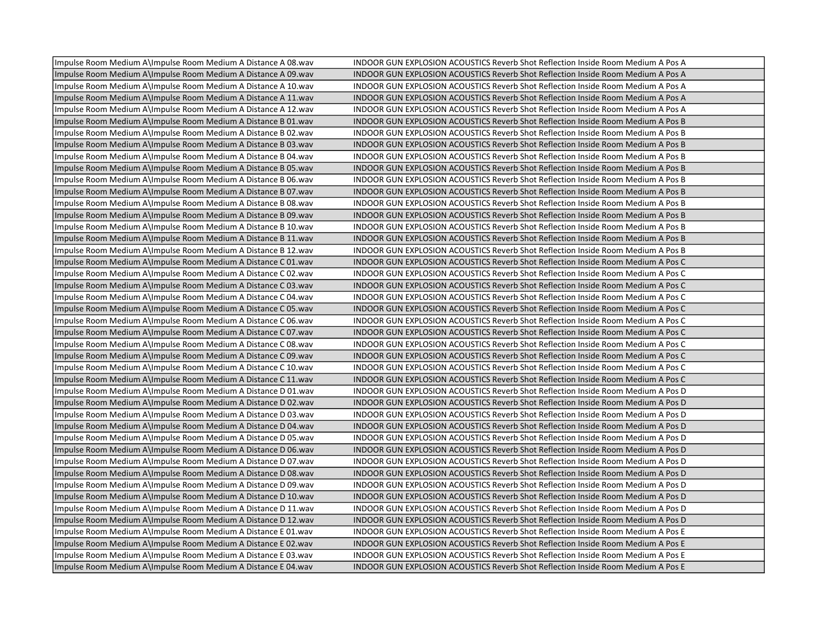| Impulse Room Medium A\Impulse Room Medium A Distance A 08.wav  | INDOOR GUN EXPLOSION ACOUSTICS Reverb Shot Reflection Inside Room Medium A Pos A |
|----------------------------------------------------------------|----------------------------------------------------------------------------------|
| Impulse Room Medium A\Impulse Room Medium A Distance A 09.wav  | INDOOR GUN EXPLOSION ACOUSTICS Reverb Shot Reflection Inside Room Medium A Pos A |
| Impulse Room Medium A\Impulse Room Medium A Distance A 10.wav  | INDOOR GUN EXPLOSION ACOUSTICS Reverb Shot Reflection Inside Room Medium A Pos A |
| Impulse Room Medium A\Impulse Room Medium A Distance A 11.wav  | INDOOR GUN EXPLOSION ACOUSTICS Reverb Shot Reflection Inside Room Medium A Pos A |
| Impulse Room Medium A\Impulse Room Medium A Distance A 12. wav | INDOOR GUN EXPLOSION ACOUSTICS Reverb Shot Reflection Inside Room Medium A Pos A |
| Impulse Room Medium A\Impulse Room Medium A Distance B 01.wav  | INDOOR GUN EXPLOSION ACOUSTICS Reverb Shot Reflection Inside Room Medium A Pos B |
| Impulse Room Medium A\Impulse Room Medium A Distance B 02.wav  | INDOOR GUN EXPLOSION ACOUSTICS Reverb Shot Reflection Inside Room Medium A Pos B |
| Impulse Room Medium A\Impulse Room Medium A Distance B 03.wav  | INDOOR GUN EXPLOSION ACOUSTICS Reverb Shot Reflection Inside Room Medium A Pos B |
| Impulse Room Medium A\Impulse Room Medium A Distance B 04.wav  | INDOOR GUN EXPLOSION ACOUSTICS Reverb Shot Reflection Inside Room Medium A Pos B |
| Impulse Room Medium A\Impulse Room Medium A Distance B 05. way | INDOOR GUN EXPLOSION ACOUSTICS Reverb Shot Reflection Inside Room Medium A Pos B |
| Impulse Room Medium A\Impulse Room Medium A Distance B 06.wav  | INDOOR GUN EXPLOSION ACOUSTICS Reverb Shot Reflection Inside Room Medium A Pos B |
| Impulse Room Medium A\Impulse Room Medium A Distance B 07.wav  | INDOOR GUN EXPLOSION ACOUSTICS Reverb Shot Reflection Inside Room Medium A Pos B |
| Impulse Room Medium A\Impulse Room Medium A Distance B 08.wav  | INDOOR GUN EXPLOSION ACOUSTICS Reverb Shot Reflection Inside Room Medium A Pos B |
| Impulse Room Medium A\Impulse Room Medium A Distance B 09.wav  | INDOOR GUN EXPLOSION ACOUSTICS Reverb Shot Reflection Inside Room Medium A Pos B |
| Impulse Room Medium A\Impulse Room Medium A Distance B 10.wav  | INDOOR GUN EXPLOSION ACOUSTICS Reverb Shot Reflection Inside Room Medium A Pos B |
| Impulse Room Medium A\Impulse Room Medium A Distance B 11.wav  | INDOOR GUN EXPLOSION ACOUSTICS Reverb Shot Reflection Inside Room Medium A Pos B |
| Impulse Room Medium A\Impulse Room Medium A Distance B 12.wav  | INDOOR GUN EXPLOSION ACOUSTICS Reverb Shot Reflection Inside Room Medium A Pos B |
| Impulse Room Medium A\Impulse Room Medium A Distance C 01.wav  | INDOOR GUN EXPLOSION ACOUSTICS Reverb Shot Reflection Inside Room Medium A Pos C |
| Impulse Room Medium A\Impulse Room Medium A Distance C 02.wav  | INDOOR GUN EXPLOSION ACOUSTICS Reverb Shot Reflection Inside Room Medium A Pos C |
| Impulse Room Medium A\Impulse Room Medium A Distance C 03.wav  | INDOOR GUN EXPLOSION ACOUSTICS Reverb Shot Reflection Inside Room Medium A Pos C |
| Impulse Room Medium A\Impulse Room Medium A Distance C 04.wav  | INDOOR GUN EXPLOSION ACOUSTICS Reverb Shot Reflection Inside Room Medium A Pos C |
| Impulse Room Medium A\Impulse Room Medium A Distance C 05. way | INDOOR GUN EXPLOSION ACOUSTICS Reverb Shot Reflection Inside Room Medium A Pos C |
| Impulse Room Medium A\Impulse Room Medium A Distance C 06.wav  | INDOOR GUN EXPLOSION ACOUSTICS Reverb Shot Reflection Inside Room Medium A Pos C |
| Impulse Room Medium A\Impulse Room Medium A Distance C07.wav   | INDOOR GUN EXPLOSION ACOUSTICS Reverb Shot Reflection Inside Room Medium A Pos C |
| Impulse Room Medium A\Impulse Room Medium A Distance C 08.wav  | INDOOR GUN EXPLOSION ACOUSTICS Reverb Shot Reflection Inside Room Medium A Pos C |
| Impulse Room Medium A\Impulse Room Medium A Distance C 09.wav  | INDOOR GUN EXPLOSION ACOUSTICS Reverb Shot Reflection Inside Room Medium A Pos C |
| Impulse Room Medium A\Impulse Room Medium A Distance C 10.wav  | INDOOR GUN EXPLOSION ACOUSTICS Reverb Shot Reflection Inside Room Medium A Pos C |
| Impulse Room Medium A\Impulse Room Medium A Distance C 11.wav  | INDOOR GUN EXPLOSION ACOUSTICS Reverb Shot Reflection Inside Room Medium A Pos C |
| Impulse Room Medium A\Impulse Room Medium A Distance D 01.wav  | INDOOR GUN EXPLOSION ACOUSTICS Reverb Shot Reflection Inside Room Medium A Pos D |
| Impulse Room Medium A\Impulse Room Medium A Distance D 02.wav  | INDOOR GUN EXPLOSION ACOUSTICS Reverb Shot Reflection Inside Room Medium A Pos D |
| Impulse Room Medium A\Impulse Room Medium A Distance D 03.wav  | INDOOR GUN EXPLOSION ACOUSTICS Reverb Shot Reflection Inside Room Medium A Pos D |
| Impulse Room Medium A\Impulse Room Medium A Distance D 04.wav  | INDOOR GUN EXPLOSION ACOUSTICS Reverb Shot Reflection Inside Room Medium A Pos D |
| Impulse Room Medium A\Impulse Room Medium A Distance D 05.wav  | INDOOR GUN EXPLOSION ACOUSTICS Reverb Shot Reflection Inside Room Medium A Pos D |
| Impulse Room Medium A\Impulse Room Medium A Distance D 06.wav  | INDOOR GUN EXPLOSION ACOUSTICS Reverb Shot Reflection Inside Room Medium A Pos D |
| Impulse Room Medium A lmpulse Room Medium A Distance D 07. wav | INDOOR GUN EXPLOSION ACOUSTICS Reverb Shot Reflection Inside Room Medium A Pos D |
| Impulse Room Medium A\Impulse Room Medium A Distance D 08.wav  | INDOOR GUN EXPLOSION ACOUSTICS Reverb Shot Reflection Inside Room Medium A Pos D |
| Impulse Room Medium A\Impulse Room Medium A Distance D 09.wav  | INDOOR GUN EXPLOSION ACOUSTICS Reverb Shot Reflection Inside Room Medium A Pos D |
| Impulse Room Medium A\Impulse Room Medium A Distance D 10.wav  | INDOOR GUN EXPLOSION ACOUSTICS Reverb Shot Reflection Inside Room Medium A Pos D |
| Impulse Room Medium A\Impulse Room Medium A Distance D 11. wav | INDOOR GUN EXPLOSION ACOUSTICS Reverb Shot Reflection Inside Room Medium A Pos D |
| Impulse Room Medium A\Impulse Room Medium A Distance D 12. wav | INDOOR GUN EXPLOSION ACOUSTICS Reverb Shot Reflection Inside Room Medium A Pos D |
| Impulse Room Medium A\Impulse Room Medium A Distance E 01.wav  | INDOOR GUN EXPLOSION ACOUSTICS Reverb Shot Reflection Inside Room Medium A Pos E |
| Impulse Room Medium A\Impulse Room Medium A Distance E 02.wav  | INDOOR GUN EXPLOSION ACOUSTICS Reverb Shot Reflection Inside Room Medium A Pos E |
| Impulse Room Medium A\Impulse Room Medium A Distance E 03.wav  | INDOOR GUN EXPLOSION ACOUSTICS Reverb Shot Reflection Inside Room Medium A Pos E |
| Impulse Room Medium A\Impulse Room Medium A Distance E 04.wav  | INDOOR GUN EXPLOSION ACOUSTICS Reverb Shot Reflection Inside Room Medium A Pos E |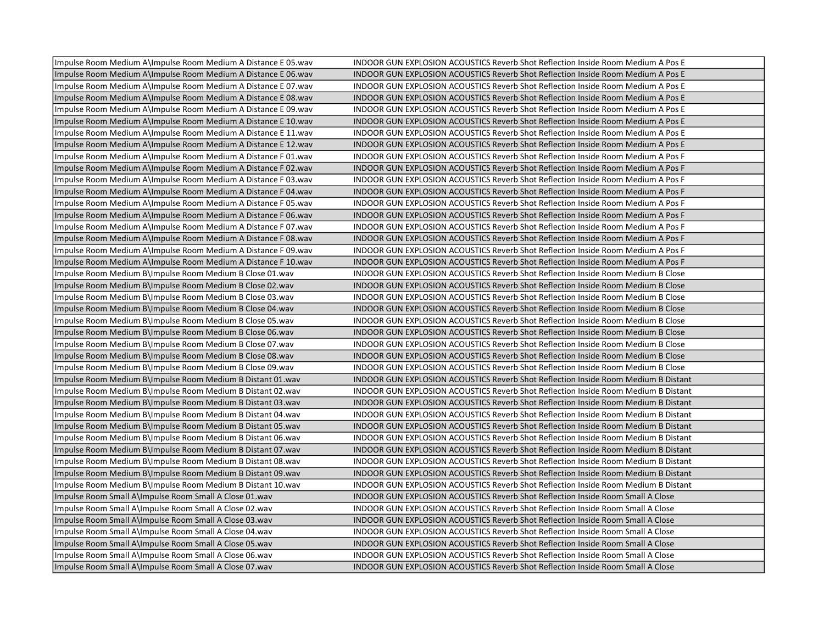| Impulse Room Medium A\Impulse Room Medium A Distance E 05. wav | INDOOR GUN EXPLOSION ACOUSTICS Reverb Shot Reflection Inside Room Medium A Pos E          |
|----------------------------------------------------------------|-------------------------------------------------------------------------------------------|
| Impulse Room Medium A\Impulse Room Medium A Distance E 06.wav  | INDOOR GUN EXPLOSION ACOUSTICS Reverb Shot Reflection Inside Room Medium A Pos E          |
| Impulse Room Medium A\Impulse Room Medium A Distance E 07. wav | INDOOR GUN EXPLOSION ACOUSTICS Reverb Shot Reflection Inside Room Medium A Pos E          |
| Impulse Room Medium A\Impulse Room Medium A Distance E 08.wav  | INDOOR GUN EXPLOSION ACOUSTICS Reverb Shot Reflection Inside Room Medium A Pos E          |
| Impulse Room Medium A\Impulse Room Medium A Distance E 09. wav | INDOOR GUN EXPLOSION ACOUSTICS Reverb Shot Reflection Inside Room Medium A Pos E          |
| Impulse Room Medium A\Impulse Room Medium A Distance E 10.wav  | INDOOR GUN EXPLOSION ACOUSTICS Reverb Shot Reflection Inside Room Medium A Pos E          |
| Impulse Room Medium A\Impulse Room Medium A Distance E 11. wav | INDOOR GUN EXPLOSION ACOUSTICS Reverb Shot Reflection Inside Room Medium A Pos E          |
| Impulse Room Medium A\Impulse Room Medium A Distance E 12. wav | INDOOR GUN EXPLOSION ACOUSTICS Reverb Shot Reflection Inside Room Medium A Pos E          |
| Impulse Room Medium A\Impulse Room Medium A Distance F 01.wav  | INDOOR GUN EXPLOSION ACOUSTICS Reverb Shot Reflection Inside Room Medium A Pos F          |
| Impulse Room Medium A\Impulse Room Medium A Distance F02.wav   | INDOOR GUN EXPLOSION ACOUSTICS Reverb Shot Reflection Inside Room Medium A Pos F          |
| Impulse Room Medium A\Impulse Room Medium A Distance F03.wav   | INDOOR GUN EXPLOSION ACOUSTICS Reverb Shot Reflection Inside Room Medium A Pos F          |
| Impulse Room Medium A\Impulse Room Medium A Distance F 04. wav | INDOOR GUN EXPLOSION ACOUSTICS Reverb Shot Reflection Inside Room Medium A Pos F          |
| Impulse Room Medium A\Impulse Room Medium A Distance F 05. wav | INDOOR GUN EXPLOSION ACOUSTICS Reverb Shot Reflection Inside Room Medium A Pos F          |
| Impulse Room Medium A\Impulse Room Medium A Distance F 06.wav  | INDOOR GUN EXPLOSION ACOUSTICS Reverb Shot Reflection Inside Room Medium A Pos F          |
| Impulse Room Medium A\Impulse Room Medium A Distance F07.wav   | INDOOR GUN EXPLOSION ACOUSTICS Reverb Shot Reflection Inside Room Medium A Pos F          |
| Impulse Room Medium A\Impulse Room Medium A Distance F 08.wav  | INDOOR GUN EXPLOSION ACOUSTICS Reverb Shot Reflection Inside Room Medium A Pos F          |
| Impulse Room Medium A\Impulse Room Medium A Distance F 09.wav  | INDOOR GUN EXPLOSION ACOUSTICS Reverb Shot Reflection Inside Room Medium A Pos F          |
| Impulse Room Medium A\Impulse Room Medium A Distance F 10. wav | INDOOR GUN EXPLOSION ACOUSTICS Reverb Shot Reflection Inside Room Medium A Pos F          |
| Impulse Room Medium B\Impulse Room Medium B Close 01.wav       | <b>INDOOR GUN EXPLOSION ACOUSTICS Reverb Shot Reflection Inside Room Medium B Close</b>   |
| Impulse Room Medium B\Impulse Room Medium B Close 02.wav       | <b>INDOOR GUN EXPLOSION ACOUSTICS Reverb Shot Reflection Inside Room Medium B Close</b>   |
| Impulse Room Medium B\Impulse Room Medium B Close 03.wav       | <b>INDOOR GUN EXPLOSION ACOUSTICS Reverb Shot Reflection Inside Room Medium B Close</b>   |
| Impulse Room Medium B\Impulse Room Medium B Close 04. wav      | <b>INDOOR GUN EXPLOSION ACOUSTICS Reverb Shot Reflection Inside Room Medium B Close</b>   |
| Impulse Room Medium B\Impulse Room Medium B Close 05.wav       | <b>INDOOR GUN EXPLOSION ACOUSTICS Reverb Shot Reflection Inside Room Medium B Close</b>   |
| Impulse Room Medium B\Impulse Room Medium B Close 06.wav       | <b>INDOOR GUN EXPLOSION ACOUSTICS Reverb Shot Reflection Inside Room Medium B Close</b>   |
| Impulse Room Medium B\Impulse Room Medium B Close 07.wav       | INDOOR GUN EXPLOSION ACOUSTICS Reverb Shot Reflection Inside Room Medium B Close          |
| Impulse Room Medium B\Impulse Room Medium B Close 08.wav       | <b>INDOOR GUN EXPLOSION ACOUSTICS Reverb Shot Reflection Inside Room Medium B Close</b>   |
| Impulse Room Medium B\Impulse Room Medium B Close 09.wav       | <b>INDOOR GUN EXPLOSION ACOUSTICS Reverb Shot Reflection Inside Room Medium B Close</b>   |
| Impulse Room Medium B\Impulse Room Medium B Distant 01.wav     | <b>INDOOR GUN EXPLOSION ACOUSTICS Reverb Shot Reflection Inside Room Medium B Distant</b> |
| Impulse Room Medium B\Impulse Room Medium B Distant 02.wav     | INDOOR GUN EXPLOSION ACOUSTICS Reverb Shot Reflection Inside Room Medium B Distant        |
| Impulse Room Medium B\Impulse Room Medium B Distant 03.wav     | <b>INDOOR GUN EXPLOSION ACOUSTICS Reverb Shot Reflection Inside Room Medium B Distant</b> |
| Impulse Room Medium B\Impulse Room Medium B Distant 04.wav     | INDOOR GUN EXPLOSION ACOUSTICS Reverb Shot Reflection Inside Room Medium B Distant        |
| Impulse Room Medium B\Impulse Room Medium B Distant 05. wav    | <b>INDOOR GUN EXPLOSION ACOUSTICS Reverb Shot Reflection Inside Room Medium B Distant</b> |
| Impulse Room Medium B\Impulse Room Medium B Distant 06.wav     | <b>INDOOR GUN EXPLOSION ACOUSTICS Reverb Shot Reflection Inside Room Medium B Distant</b> |
| Impulse Room Medium B\Impulse Room Medium B Distant 07. wav    | <b>INDOOR GUN EXPLOSION ACOUSTICS Reverb Shot Reflection Inside Room Medium B Distant</b> |
| Impulse Room Medium B\Impulse Room Medium B Distant 08.wav     | INDOOR GUN EXPLOSION ACOUSTICS Reverb Shot Reflection Inside Room Medium B Distant        |
| Impulse Room Medium B\Impulse Room Medium B Distant 09.wav     | INDOOR GUN EXPLOSION ACOUSTICS Reverb Shot Reflection Inside Room Medium B Distant        |
| Impulse Room Medium B\Impulse Room Medium B Distant 10. wav    | INDOOR GUN EXPLOSION ACOUSTICS Reverb Shot Reflection Inside Room Medium B Distant        |
| Impulse Room Small A\Impulse Room Small A Close 01.wav         | INDOOR GUN EXPLOSION ACOUSTICS Reverb Shot Reflection Inside Room Small A Close           |
| Impulse Room Small A\Impulse Room Small A Close 02.wav         | INDOOR GUN EXPLOSION ACOUSTICS Reverb Shot Reflection Inside Room Small A Close           |
| Impulse Room Small A\Impulse Room Small A Close 03.wav         | INDOOR GUN EXPLOSION ACOUSTICS Reverb Shot Reflection Inside Room Small A Close           |
| Impulse Room Small A\Impulse Room Small A Close 04.wav         | INDOOR GUN EXPLOSION ACOUSTICS Reverb Shot Reflection Inside Room Small A Close           |
| Impulse Room Small A\Impulse Room Small A Close 05.wav         | INDOOR GUN EXPLOSION ACOUSTICS Reverb Shot Reflection Inside Room Small A Close           |
| Impulse Room Small A\Impulse Room Small A Close 06.wav         | INDOOR GUN EXPLOSION ACOUSTICS Reverb Shot Reflection Inside Room Small A Close           |
| Impulse Room Small A\Impulse Room Small A Close 07.wav         | INDOOR GUN EXPLOSION ACOUSTICS Reverb Shot Reflection Inside Room Small A Close           |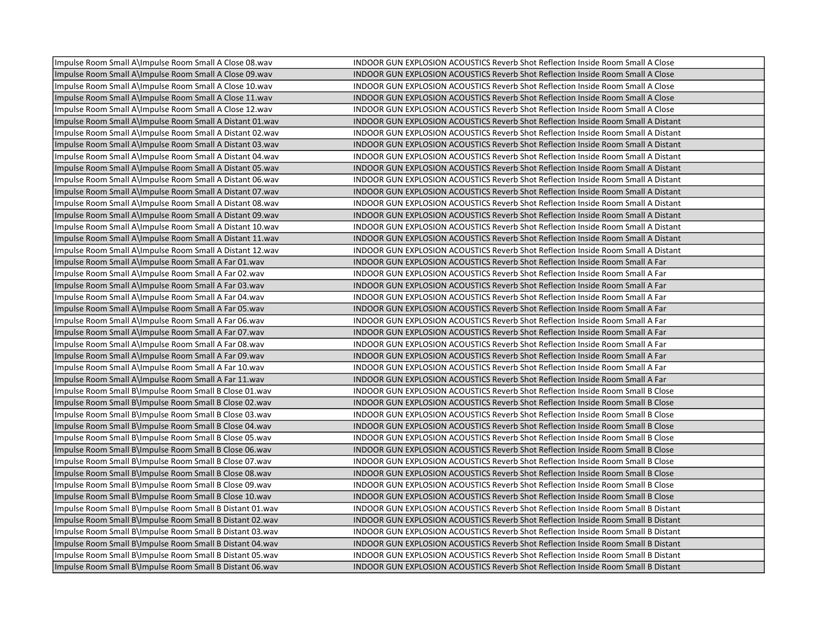| Impulse Room Small A\Impulse Room Small A Close 08.wav   | INDOOR GUN EXPLOSION ACOUSTICS Reverb Shot Reflection Inside Room Small A Close          |
|----------------------------------------------------------|------------------------------------------------------------------------------------------|
| Impulse Room Small A\Impulse Room Small A Close 09.wav   | INDOOR GUN EXPLOSION ACOUSTICS Reverb Shot Reflection Inside Room Small A Close          |
| Impulse Room Small A\Impulse Room Small A Close 10.wav   | INDOOR GUN EXPLOSION ACOUSTICS Reverb Shot Reflection Inside Room Small A Close          |
| Impulse Room Small A\Impulse Room Small A Close 11.wav   | INDOOR GUN EXPLOSION ACOUSTICS Reverb Shot Reflection Inside Room Small A Close          |
| Impulse Room Small A\Impulse Room Small A Close 12.wav   | INDOOR GUN EXPLOSION ACOUSTICS Reverb Shot Reflection Inside Room Small A Close          |
| Impulse Room Small A\Impulse Room Small A Distant 01.wav | INDOOR GUN EXPLOSION ACOUSTICS Reverb Shot Reflection Inside Room Small A Distant        |
| Impulse Room Small A\Impulse Room Small A Distant 02.wav | INDOOR GUN EXPLOSION ACOUSTICS Reverb Shot Reflection Inside Room Small A Distant        |
| Impulse Room Small A\Impulse Room Small A Distant 03.wav | <b>INDOOR GUN EXPLOSION ACOUSTICS Reverb Shot Reflection Inside Room Small A Distant</b> |
| Impulse Room Small A\Impulse Room Small A Distant 04.wav | INDOOR GUN EXPLOSION ACOUSTICS Reverb Shot Reflection Inside Room Small A Distant        |
| Impulse Room Small A\Impulse Room Small A Distant 05.wav | <b>INDOOR GUN EXPLOSION ACOUSTICS Reverb Shot Reflection Inside Room Small A Distant</b> |
| Impulse Room Small A\Impulse Room Small A Distant 06.wav | INDOOR GUN EXPLOSION ACOUSTICS Reverb Shot Reflection Inside Room Small A Distant        |
| Impulse Room Small A\Impulse Room Small A Distant 07.wav | <b>INDOOR GUN EXPLOSION ACOUSTICS Reverb Shot Reflection Inside Room Small A Distant</b> |
| Impulse Room Small A\Impulse Room Small A Distant 08.wav | INDOOR GUN EXPLOSION ACOUSTICS Reverb Shot Reflection Inside Room Small A Distant        |
| Impulse Room Small A\Impulse Room Small A Distant 09.wav | INDOOR GUN EXPLOSION ACOUSTICS Reverb Shot Reflection Inside Room Small A Distant        |
| Impulse Room Small A\Impulse Room Small A Distant 10.wav | INDOOR GUN EXPLOSION ACOUSTICS Reverb Shot Reflection Inside Room Small A Distant        |
| Impulse Room Small A\Impulse Room Small A Distant 11.wav | INDOOR GUN EXPLOSION ACOUSTICS Reverb Shot Reflection Inside Room Small A Distant        |
| Impulse Room Small A\Impulse Room Small A Distant 12.wav | INDOOR GUN EXPLOSION ACOUSTICS Reverb Shot Reflection Inside Room Small A Distant        |
| Impulse Room Small A\Impulse Room Small A Far 01.wav     | INDOOR GUN EXPLOSION ACOUSTICS Reverb Shot Reflection Inside Room Small A Far            |
| Impulse Room Small A\Impulse Room Small A Far 02.wav     | INDOOR GUN EXPLOSION ACOUSTICS Reverb Shot Reflection Inside Room Small A Far            |
| Impulse Room Small A\Impulse Room Small A Far 03.wav     | INDOOR GUN EXPLOSION ACOUSTICS Reverb Shot Reflection Inside Room Small A Far            |
| Impulse Room Small A\Impulse Room Small A Far 04.wav     | INDOOR GUN EXPLOSION ACOUSTICS Reverb Shot Reflection Inside Room Small A Far            |
| Impulse Room Small A\Impulse Room Small A Far 05.wav     | INDOOR GUN EXPLOSION ACOUSTICS Reverb Shot Reflection Inside Room Small A Far            |
| Impulse Room Small A\Impulse Room Small A Far 06.wav     | INDOOR GUN EXPLOSION ACOUSTICS Reverb Shot Reflection Inside Room Small A Far            |
| Impulse Room Small A\Impulse Room Small A Far 07.wav     | INDOOR GUN EXPLOSION ACOUSTICS Reverb Shot Reflection Inside Room Small A Far            |
| Impulse Room Small A\Impulse Room Small A Far 08.wav     | INDOOR GUN EXPLOSION ACOUSTICS Reverb Shot Reflection Inside Room Small A Far            |
| Impulse Room Small A\Impulse Room Small A Far 09.wav     | INDOOR GUN EXPLOSION ACOUSTICS Reverb Shot Reflection Inside Room Small A Far            |
| Impulse Room Small A\Impulse Room Small A Far 10.wav     | INDOOR GUN EXPLOSION ACOUSTICS Reverb Shot Reflection Inside Room Small A Far            |
| Impulse Room Small A\Impulse Room Small A Far 11.wav     | INDOOR GUN EXPLOSION ACOUSTICS Reverb Shot Reflection Inside Room Small A Far            |
| Impulse Room Small B\Impulse Room Small B Close 01.wav   | <b>INDOOR GUN EXPLOSION ACOUSTICS Reverb Shot Reflection Inside Room Small B Close</b>   |
| Impulse Room Small B\Impulse Room Small B Close 02.wav   | <b>INDOOR GUN EXPLOSION ACOUSTICS Reverb Shot Reflection Inside Room Small B Close</b>   |
| Impulse Room Small B\Impulse Room Small B Close 03.wav   | <b>INDOOR GUN EXPLOSION ACOUSTICS Reverb Shot Reflection Inside Room Small B Close</b>   |
| Impulse Room Small B\Impulse Room Small B Close 04.wav   | INDOOR GUN EXPLOSION ACOUSTICS Reverb Shot Reflection Inside Room Small B Close          |
| Impulse Room Small B\Impulse Room Small B Close 05.wav   | INDOOR GUN EXPLOSION ACOUSTICS Reverb Shot Reflection Inside Room Small B Close          |
| Impulse Room Small B\Impulse Room Small B Close 06.wav   | INDOOR GUN EXPLOSION ACOUSTICS Reverb Shot Reflection Inside Room Small B Close          |
| Impulse Room Small B\Impulse Room Small B Close 07.wav   | INDOOR GUN EXPLOSION ACOUSTICS Reverb Shot Reflection Inside Room Small B Close          |
| Impulse Room Small B\Impulse Room Small B Close 08.wav   | INDOOR GUN EXPLOSION ACOUSTICS Reverb Shot Reflection Inside Room Small B Close          |
| Impulse Room Small B\Impulse Room Small B Close 09.wav   | <b>INDOOR GUN EXPLOSION ACOUSTICS Reverb Shot Reflection Inside Room Small B Close</b>   |
| Impulse Room Small B\Impulse Room Small B Close 10.wav   | INDOOR GUN EXPLOSION ACOUSTICS Reverb Shot Reflection Inside Room Small B Close          |
| Impulse Room Small B\Impulse Room Small B Distant 01.wav | <b>INDOOR GUN EXPLOSION ACOUSTICS Reverb Shot Reflection Inside Room Small B Distant</b> |
| Impulse Room Small B\Impulse Room Small B Distant 02.wav | <b>INDOOR GUN EXPLOSION ACOUSTICS Reverb Shot Reflection Inside Room Small B Distant</b> |
| Impulse Room Small B\Impulse Room Small B Distant 03.wav | INDOOR GUN EXPLOSION ACOUSTICS Reverb Shot Reflection Inside Room Small B Distant        |
| Impulse Room Small B\Impulse Room Small B Distant 04.wav | INDOOR GUN EXPLOSION ACOUSTICS Reverb Shot Reflection Inside Room Small B Distant        |
| Impulse Room Small B\Impulse Room Small B Distant 05.wav | <b>INDOOR GUN EXPLOSION ACOUSTICS Reverb Shot Reflection Inside Room Small B Distant</b> |
| Impulse Room Small B\Impulse Room Small B Distant 06.wav | <b>INDOOR GUN EXPLOSION ACOUSTICS Reverb Shot Reflection Inside Room Small B Distant</b> |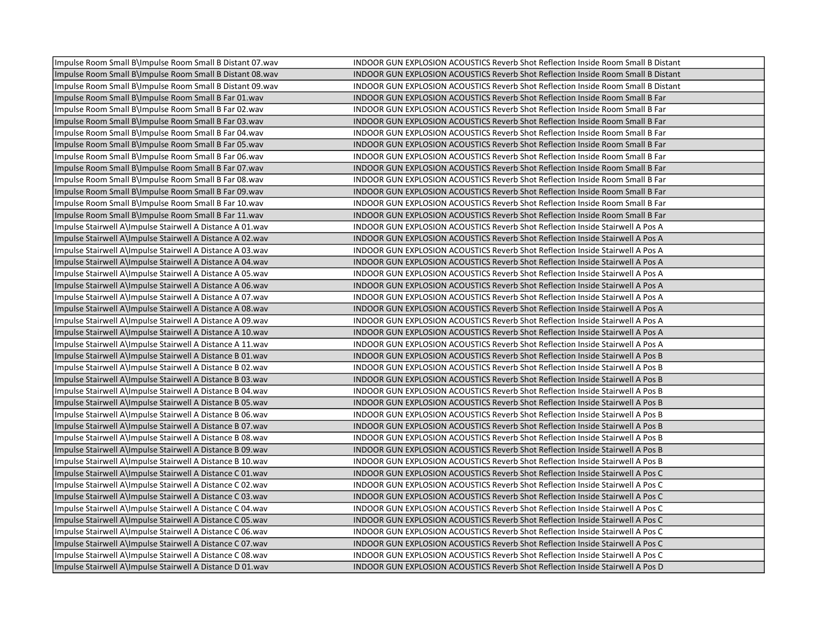| Impulse Room Small B\Impulse Room Small B Distant 07.wav  | INDOOR GUN EXPLOSION ACOUSTICS Reverb Shot Reflection Inside Room Small B Distant        |
|-----------------------------------------------------------|------------------------------------------------------------------------------------------|
| Impulse Room Small B\Impulse Room Small B Distant 08.wav  | <b>INDOOR GUN EXPLOSION ACOUSTICS Reverb Shot Reflection Inside Room Small B Distant</b> |
| Impulse Room Small B\Impulse Room Small B Distant 09.wav  | <b>INDOOR GUN EXPLOSION ACOUSTICS Reverb Shot Reflection Inside Room Small B Distant</b> |
| Impulse Room Small B\Impulse Room Small B Far 01.wav      | INDOOR GUN EXPLOSION ACOUSTICS Reverb Shot Reflection Inside Room Small B Far            |
| Impulse Room Small B\Impulse Room Small B Far 02.wav      | INDOOR GUN EXPLOSION ACOUSTICS Reverb Shot Reflection Inside Room Small B Far            |
| Impulse Room Small B\Impulse Room Small B Far 03.wav      | INDOOR GUN EXPLOSION ACOUSTICS Reverb Shot Reflection Inside Room Small B Far            |
| Impulse Room Small B\Impulse Room Small B Far 04.wav      | INDOOR GUN EXPLOSION ACOUSTICS Reverb Shot Reflection Inside Room Small B Far            |
| Impulse Room Small B\Impulse Room Small B Far 05.wav      | INDOOR GUN EXPLOSION ACOUSTICS Reverb Shot Reflection Inside Room Small B Far            |
| Impulse Room Small B\Impulse Room Small B Far 06.wav      | INDOOR GUN EXPLOSION ACOUSTICS Reverb Shot Reflection Inside Room Small B Far            |
| Impulse Room Small B\Impulse Room Small B Far 07.wav      | INDOOR GUN EXPLOSION ACOUSTICS Reverb Shot Reflection Inside Room Small B Far            |
| Impulse Room Small B\Impulse Room Small B Far 08.wav      | INDOOR GUN EXPLOSION ACOUSTICS Reverb Shot Reflection Inside Room Small B Far            |
| Impulse Room Small B\Impulse Room Small B Far 09.wav      | INDOOR GUN EXPLOSION ACOUSTICS Reverb Shot Reflection Inside Room Small B Far            |
| Impulse Room Small B\Impulse Room Small B Far 10.wav      | INDOOR GUN EXPLOSION ACOUSTICS Reverb Shot Reflection Inside Room Small B Far            |
| Impulse Room Small B\Impulse Room Small B Far 11.wav      | INDOOR GUN EXPLOSION ACOUSTICS Reverb Shot Reflection Inside Room Small B Far            |
| Impulse Stairwell A\Impulse Stairwell A Distance A 01.wav | INDOOR GUN EXPLOSION ACOUSTICS Reverb Shot Reflection Inside Stairwell A Pos A           |
| Impulse Stairwell A\Impulse Stairwell A Distance A 02.wav | INDOOR GUN EXPLOSION ACOUSTICS Reverb Shot Reflection Inside Stairwell A Pos A           |
| Impulse Stairwell A\Impulse Stairwell A Distance A 03.wav | INDOOR GUN EXPLOSION ACOUSTICS Reverb Shot Reflection Inside Stairwell A Pos A           |
| Impulse Stairwell A\Impulse Stairwell A Distance A 04.wav | INDOOR GUN EXPLOSION ACOUSTICS Reverb Shot Reflection Inside Stairwell A Pos A           |
| Impulse Stairwell A\Impulse Stairwell A Distance A 05.wav | INDOOR GUN EXPLOSION ACOUSTICS Reverb Shot Reflection Inside Stairwell A Pos A           |
| Impulse Stairwell A\Impulse Stairwell A Distance A 06.wav | INDOOR GUN EXPLOSION ACOUSTICS Reverb Shot Reflection Inside Stairwell A Pos A           |
| Impulse Stairwell A\Impulse Stairwell A Distance A 07.wav | INDOOR GUN EXPLOSION ACOUSTICS Reverb Shot Reflection Inside Stairwell A Pos A           |
| Impulse Stairwell A\Impulse Stairwell A Distance A 08.wav | INDOOR GUN EXPLOSION ACOUSTICS Reverb Shot Reflection Inside Stairwell A Pos A           |
| Impulse Stairwell A\Impulse Stairwell A Distance A 09.wav | INDOOR GUN EXPLOSION ACOUSTICS Reverb Shot Reflection Inside Stairwell A Pos A           |
| Impulse Stairwell A\Impulse Stairwell A Distance A 10.wav | INDOOR GUN EXPLOSION ACOUSTICS Reverb Shot Reflection Inside Stairwell A Pos A           |
| Impulse Stairwell A\Impulse Stairwell A Distance A 11.wav | INDOOR GUN EXPLOSION ACOUSTICS Reverb Shot Reflection Inside Stairwell A Pos A           |
| Impulse Stairwell A\Impulse Stairwell A Distance B 01.wav | INDOOR GUN EXPLOSION ACOUSTICS Reverb Shot Reflection Inside Stairwell A Pos B           |
| Impulse Stairwell A\Impulse Stairwell A Distance B 02.wav | INDOOR GUN EXPLOSION ACOUSTICS Reverb Shot Reflection Inside Stairwell A Pos B           |
| Impulse Stairwell A\Impulse Stairwell A Distance B 03.wav | INDOOR GUN EXPLOSION ACOUSTICS Reverb Shot Reflection Inside Stairwell A Pos B           |
| Impulse Stairwell A\Impulse Stairwell A Distance B 04.wav | INDOOR GUN EXPLOSION ACOUSTICS Reverb Shot Reflection Inside Stairwell A Pos B           |
| Impulse Stairwell A\Impulse Stairwell A Distance B 05.wav | INDOOR GUN EXPLOSION ACOUSTICS Reverb Shot Reflection Inside Stairwell A Pos B           |
| Impulse Stairwell A\Impulse Stairwell A Distance B 06.wav | INDOOR GUN EXPLOSION ACOUSTICS Reverb Shot Reflection Inside Stairwell A Pos B           |
| Impulse Stairwell A\Impulse Stairwell A Distance B 07.wav | INDOOR GUN EXPLOSION ACOUSTICS Reverb Shot Reflection Inside Stairwell A Pos B           |
| Impulse Stairwell A\Impulse Stairwell A Distance B 08.wav | INDOOR GUN EXPLOSION ACOUSTICS Reverb Shot Reflection Inside Stairwell A Pos B           |
| Impulse Stairwell A\Impulse Stairwell A Distance B 09.wav | INDOOR GUN EXPLOSION ACOUSTICS Reverb Shot Reflection Inside Stairwell A Pos B           |
| Impulse Stairwell A\Impulse Stairwell A Distance B 10.wav | INDOOR GUN EXPLOSION ACOUSTICS Reverb Shot Reflection Inside Stairwell A Pos B           |
| Impulse Stairwell A\Impulse Stairwell A Distance C 01.wav | INDOOR GUN EXPLOSION ACOUSTICS Reverb Shot Reflection Inside Stairwell A Pos C           |
| Impulse Stairwell A\Impulse Stairwell A Distance C 02.wav | INDOOR GUN EXPLOSION ACOUSTICS Reverb Shot Reflection Inside Stairwell A Pos C           |
| Impulse Stairwell A\Impulse Stairwell A Distance C 03.wav | INDOOR GUN EXPLOSION ACOUSTICS Reverb Shot Reflection Inside Stairwell A Pos C           |
| Impulse Stairwell A\Impulse Stairwell A Distance C 04.wav | INDOOR GUN EXPLOSION ACOUSTICS Reverb Shot Reflection Inside Stairwell A Pos C           |
| Impulse Stairwell A\Impulse Stairwell A Distance C 05.wav | INDOOR GUN EXPLOSION ACOUSTICS Reverb Shot Reflection Inside Stairwell A Pos C           |
| Impulse Stairwell A\Impulse Stairwell A Distance C 06.wav | INDOOR GUN EXPLOSION ACOUSTICS Reverb Shot Reflection Inside Stairwell A Pos C           |
| Impulse Stairwell A\Impulse Stairwell A Distance C 07.wav | INDOOR GUN EXPLOSION ACOUSTICS Reverb Shot Reflection Inside Stairwell A Pos C           |
| Impulse Stairwell A\Impulse Stairwell A Distance C 08.wav | INDOOR GUN EXPLOSION ACOUSTICS Reverb Shot Reflection Inside Stairwell A Pos C           |
| Impulse Stairwell A\Impulse Stairwell A Distance D 01.wav | INDOOR GUN EXPLOSION ACOUSTICS Reverb Shot Reflection Inside Stairwell A Pos D           |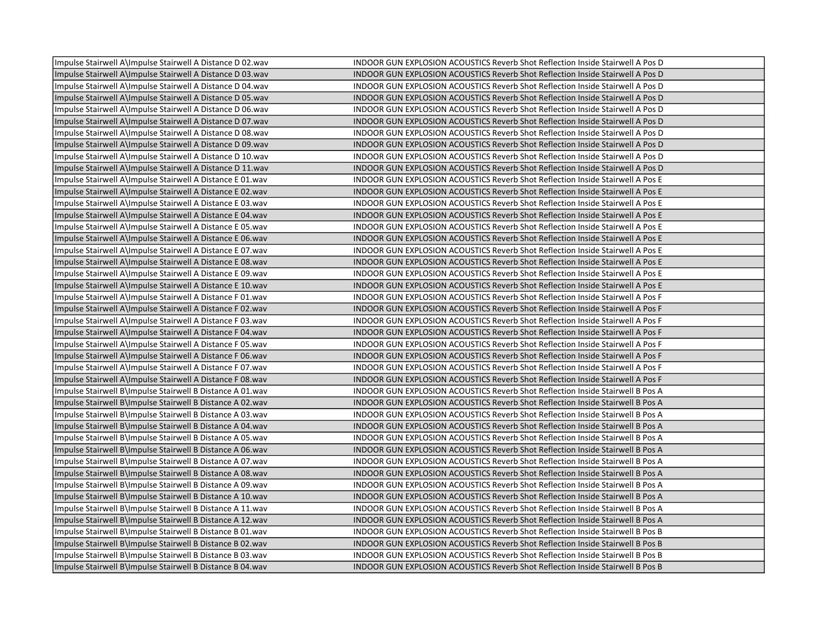| Impulse Stairwell A\Impulse Stairwell A Distance D 02.wav | INDOOR GUN EXPLOSION ACOUSTICS Reverb Shot Reflection Inside Stairwell A Pos D        |
|-----------------------------------------------------------|---------------------------------------------------------------------------------------|
| Impulse Stairwell A\Impulse Stairwell A Distance D 03.wav | INDOOR GUN EXPLOSION ACOUSTICS Reverb Shot Reflection Inside Stairwell A Pos D        |
| Impulse Stairwell A\Impulse Stairwell A Distance D 04.wav | INDOOR GUN EXPLOSION ACOUSTICS Reverb Shot Reflection Inside Stairwell A Pos D        |
| Impulse Stairwell A\Impulse Stairwell A Distance D 05.wav | INDOOR GUN EXPLOSION ACOUSTICS Reverb Shot Reflection Inside Stairwell A Pos D        |
| Impulse Stairwell A\Impulse Stairwell A Distance D 06.wav | INDOOR GUN EXPLOSION ACOUSTICS Reverb Shot Reflection Inside Stairwell A Pos D        |
| Impulse Stairwell A\Impulse Stairwell A Distance D 07.wav | INDOOR GUN EXPLOSION ACOUSTICS Reverb Shot Reflection Inside Stairwell A Pos D        |
| Impulse Stairwell A\Impulse Stairwell A Distance D 08.wav | INDOOR GUN EXPLOSION ACOUSTICS Reverb Shot Reflection Inside Stairwell A Pos D        |
| Impulse Stairwell A\Impulse Stairwell A Distance D 09.wav | INDOOR GUN EXPLOSION ACOUSTICS Reverb Shot Reflection Inside Stairwell A Pos D        |
| Impulse Stairwell A\Impulse Stairwell A Distance D 10.wav | INDOOR GUN EXPLOSION ACOUSTICS Reverb Shot Reflection Inside Stairwell A Pos D        |
| Impulse Stairwell A\Impulse Stairwell A Distance D 11.wav | INDOOR GUN EXPLOSION ACOUSTICS Reverb Shot Reflection Inside Stairwell A Pos D        |
| Impulse Stairwell A\Impulse Stairwell A Distance E 01.wav | INDOOR GUN EXPLOSION ACOUSTICS Reverb Shot Reflection Inside Stairwell A Pos E        |
| Impulse Stairwell A\Impulse Stairwell A Distance E 02.wav | INDOOR GUN EXPLOSION ACOUSTICS Reverb Shot Reflection Inside Stairwell A Pos E        |
| Impulse Stairwell A\Impulse Stairwell A Distance E 03.wav | INDOOR GUN EXPLOSION ACOUSTICS Reverb Shot Reflection Inside Stairwell A Pos E        |
| Impulse Stairwell A\Impulse Stairwell A Distance E 04.wav | INDOOR GUN EXPLOSION ACOUSTICS Reverb Shot Reflection Inside Stairwell A Pos E        |
| Impulse Stairwell A\Impulse Stairwell A Distance E 05.wav | INDOOR GUN EXPLOSION ACOUSTICS Reverb Shot Reflection Inside Stairwell A Pos E        |
| Impulse Stairwell A\Impulse Stairwell A Distance E 06.wav | INDOOR GUN EXPLOSION ACOUSTICS Reverb Shot Reflection Inside Stairwell A Pos E        |
| Impulse Stairwell A\Impulse Stairwell A Distance E 07.wav | INDOOR GUN EXPLOSION ACOUSTICS Reverb Shot Reflection Inside Stairwell A Pos E        |
| Impulse Stairwell A\Impulse Stairwell A Distance E 08.wav | INDOOR GUN EXPLOSION ACOUSTICS Reverb Shot Reflection Inside Stairwell A Pos E        |
| Impulse Stairwell A\Impulse Stairwell A Distance E 09.wav | INDOOR GUN EXPLOSION ACOUSTICS Reverb Shot Reflection Inside Stairwell A Pos E        |
| Impulse Stairwell A\Impulse Stairwell A Distance E 10.wav | INDOOR GUN EXPLOSION ACOUSTICS Reverb Shot Reflection Inside Stairwell A Pos E        |
| Impulse Stairwell A\Impulse Stairwell A Distance F 01.wav | INDOOR GUN EXPLOSION ACOUSTICS Reverb Shot Reflection Inside Stairwell A Pos F        |
| Impulse Stairwell A\Impulse Stairwell A Distance F 02.wav | <b>INDOOR GUN EXPLOSION ACOUSTICS Reverb Shot Reflection Inside Stairwell A Pos F</b> |
| Impulse Stairwell A\Impulse Stairwell A Distance F 03.wav | INDOOR GUN EXPLOSION ACOUSTICS Reverb Shot Reflection Inside Stairwell A Pos F        |
| Impulse Stairwell A\Impulse Stairwell A Distance F 04.wav | INDOOR GUN EXPLOSION ACOUSTICS Reverb Shot Reflection Inside Stairwell A Pos F        |
| Impulse Stairwell A\Impulse Stairwell A Distance F 05.wav | INDOOR GUN EXPLOSION ACOUSTICS Reverb Shot Reflection Inside Stairwell A Pos F        |
| Impulse Stairwell A\Impulse Stairwell A Distance F 06.wav | INDOOR GUN EXPLOSION ACOUSTICS Reverb Shot Reflection Inside Stairwell A Pos F        |
| Impulse Stairwell A\Impulse Stairwell A Distance F 07.wav | INDOOR GUN EXPLOSION ACOUSTICS Reverb Shot Reflection Inside Stairwell A Pos F        |
| Impulse Stairwell A\Impulse Stairwell A Distance F 08.wav | INDOOR GUN EXPLOSION ACOUSTICS Reverb Shot Reflection Inside Stairwell A Pos F        |
| Impulse Stairwell B\Impulse Stairwell B Distance A 01.wav | INDOOR GUN EXPLOSION ACOUSTICS Reverb Shot Reflection Inside Stairwell B Pos A        |
| Impulse Stairwell B\Impulse Stairwell B Distance A 02.wav | INDOOR GUN EXPLOSION ACOUSTICS Reverb Shot Reflection Inside Stairwell B Pos A        |
| Impulse Stairwell B\Impulse Stairwell B Distance A 03.wav | INDOOR GUN EXPLOSION ACOUSTICS Reverb Shot Reflection Inside Stairwell B Pos A        |
| Impulse Stairwell B\Impulse Stairwell B Distance A 04.wav | INDOOR GUN EXPLOSION ACOUSTICS Reverb Shot Reflection Inside Stairwell B Pos A        |
| Impulse Stairwell B\Impulse Stairwell B Distance A 05.wav | INDOOR GUN EXPLOSION ACOUSTICS Reverb Shot Reflection Inside Stairwell B Pos A        |
| Impulse Stairwell B\Impulse Stairwell B Distance A 06.wav | INDOOR GUN EXPLOSION ACOUSTICS Reverb Shot Reflection Inside Stairwell B Pos A        |
| Impulse Stairwell B\Impulse Stairwell B Distance A 07.wav | INDOOR GUN EXPLOSION ACOUSTICS Reverb Shot Reflection Inside Stairwell B Pos A        |
| Impulse Stairwell B\Impulse Stairwell B Distance A 08.wav | INDOOR GUN EXPLOSION ACOUSTICS Reverb Shot Reflection Inside Stairwell B Pos A        |
| Impulse Stairwell B\Impulse Stairwell B Distance A 09.wav | INDOOR GUN EXPLOSION ACOUSTICS Reverb Shot Reflection Inside Stairwell B Pos A        |
| Impulse Stairwell B\Impulse Stairwell B Distance A 10.wav | INDOOR GUN EXPLOSION ACOUSTICS Reverb Shot Reflection Inside Stairwell B Pos A        |
| Impulse Stairwell B\Impulse Stairwell B Distance A 11.wav | INDOOR GUN EXPLOSION ACOUSTICS Reverb Shot Reflection Inside Stairwell B Pos A        |
| Impulse Stairwell B\Impulse Stairwell B Distance A 12.wav | INDOOR GUN EXPLOSION ACOUSTICS Reverb Shot Reflection Inside Stairwell B Pos A        |
| Impulse Stairwell B\Impulse Stairwell B Distance B 01.wav | INDOOR GUN EXPLOSION ACOUSTICS Reverb Shot Reflection Inside Stairwell B Pos B        |
| Impulse Stairwell B\Impulse Stairwell B Distance B 02.wav | INDOOR GUN EXPLOSION ACOUSTICS Reverb Shot Reflection Inside Stairwell B Pos B        |
| Impulse Stairwell B\Impulse Stairwell B Distance B 03.wav | INDOOR GUN EXPLOSION ACOUSTICS Reverb Shot Reflection Inside Stairwell B Pos B        |
| Impulse Stairwell B\Impulse Stairwell B Distance B 04.wav | INDOOR GUN EXPLOSION ACOUSTICS Reverb Shot Reflection Inside Stairwell B Pos B        |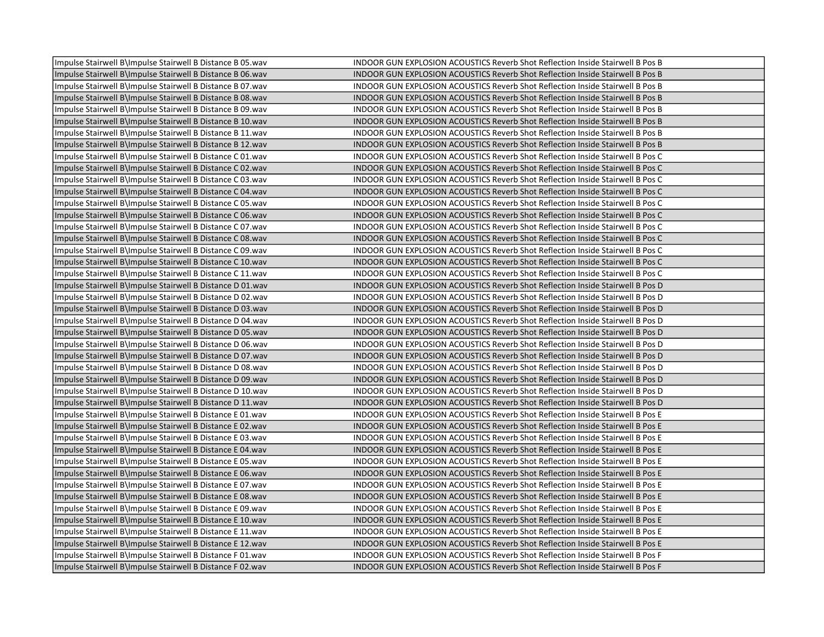| Impulse Stairwell B\Impulse Stairwell B Distance B 05.wav | INDOOR GUN EXPLOSION ACOUSTICS Reverb Shot Reflection Inside Stairwell B Pos B        |
|-----------------------------------------------------------|---------------------------------------------------------------------------------------|
| Impulse Stairwell B\Impulse Stairwell B Distance B 06.wav | INDOOR GUN EXPLOSION ACOUSTICS Reverb Shot Reflection Inside Stairwell B Pos B        |
| Impulse Stairwell B\Impulse Stairwell B Distance B 07.wav | INDOOR GUN EXPLOSION ACOUSTICS Reverb Shot Reflection Inside Stairwell B Pos B        |
| Impulse Stairwell B\Impulse Stairwell B Distance B 08.wav | INDOOR GUN EXPLOSION ACOUSTICS Reverb Shot Reflection Inside Stairwell B Pos B        |
| Impulse Stairwell B\Impulse Stairwell B Distance B 09.wav | INDOOR GUN EXPLOSION ACOUSTICS Reverb Shot Reflection Inside Stairwell B Pos B        |
| Impulse Stairwell B\Impulse Stairwell B Distance B 10.wav | INDOOR GUN EXPLOSION ACOUSTICS Reverb Shot Reflection Inside Stairwell B Pos B        |
| Impulse Stairwell B\Impulse Stairwell B Distance B 11.wav | INDOOR GUN EXPLOSION ACOUSTICS Reverb Shot Reflection Inside Stairwell B Pos B        |
| Impulse Stairwell B\Impulse Stairwell B Distance B 12.wav | INDOOR GUN EXPLOSION ACOUSTICS Reverb Shot Reflection Inside Stairwell B Pos B        |
| Impulse Stairwell B\Impulse Stairwell B Distance C 01.wav | INDOOR GUN EXPLOSION ACOUSTICS Reverb Shot Reflection Inside Stairwell B Pos C        |
| Impulse Stairwell B\Impulse Stairwell B Distance C 02.wav | INDOOR GUN EXPLOSION ACOUSTICS Reverb Shot Reflection Inside Stairwell B Pos C        |
| Impulse Stairwell B\Impulse Stairwell B Distance C 03.wav | INDOOR GUN EXPLOSION ACOUSTICS Reverb Shot Reflection Inside Stairwell B Pos C        |
| Impulse Stairwell B\Impulse Stairwell B Distance C 04.wav | INDOOR GUN EXPLOSION ACOUSTICS Reverb Shot Reflection Inside Stairwell B Pos C        |
| Impulse Stairwell B\Impulse Stairwell B Distance C 05.wav | INDOOR GUN EXPLOSION ACOUSTICS Reverb Shot Reflection Inside Stairwell B Pos C        |
| Impulse Stairwell B\Impulse Stairwell B Distance C 06.wav | INDOOR GUN EXPLOSION ACOUSTICS Reverb Shot Reflection Inside Stairwell B Pos C        |
| Impulse Stairwell B\Impulse Stairwell B Distance C 07.wav | INDOOR GUN EXPLOSION ACOUSTICS Reverb Shot Reflection Inside Stairwell B Pos C        |
| Impulse Stairwell B\Impulse Stairwell B Distance C 08.wav | INDOOR GUN EXPLOSION ACOUSTICS Reverb Shot Reflection Inside Stairwell B Pos C        |
| Impulse Stairwell B\Impulse Stairwell B Distance C 09.wav | INDOOR GUN EXPLOSION ACOUSTICS Reverb Shot Reflection Inside Stairwell B Pos C        |
| Impulse Stairwell B\Impulse Stairwell B Distance C 10.wav | INDOOR GUN EXPLOSION ACOUSTICS Reverb Shot Reflection Inside Stairwell B Pos C        |
| Impulse Stairwell B\Impulse Stairwell B Distance C 11.wav | INDOOR GUN EXPLOSION ACOUSTICS Reverb Shot Reflection Inside Stairwell B Pos C        |
| Impulse Stairwell B\Impulse Stairwell B Distance D 01.wav | INDOOR GUN EXPLOSION ACOUSTICS Reverb Shot Reflection Inside Stairwell B Pos D        |
| Impulse Stairwell B\Impulse Stairwell B Distance D 02.wav | INDOOR GUN EXPLOSION ACOUSTICS Reverb Shot Reflection Inside Stairwell B Pos D        |
| Impulse Stairwell B\Impulse Stairwell B Distance D 03.wav | INDOOR GUN EXPLOSION ACOUSTICS Reverb Shot Reflection Inside Stairwell B Pos D        |
| Impulse Stairwell B\Impulse Stairwell B Distance D 04.wav | INDOOR GUN EXPLOSION ACOUSTICS Reverb Shot Reflection Inside Stairwell B Pos D        |
| Impulse Stairwell B\Impulse Stairwell B Distance D 05.wav | INDOOR GUN EXPLOSION ACOUSTICS Reverb Shot Reflection Inside Stairwell B Pos D        |
| Impulse Stairwell B\Impulse Stairwell B Distance D 06.wav | INDOOR GUN EXPLOSION ACOUSTICS Reverb Shot Reflection Inside Stairwell B Pos D        |
| Impulse Stairwell B\Impulse Stairwell B Distance D 07.wav | INDOOR GUN EXPLOSION ACOUSTICS Reverb Shot Reflection Inside Stairwell B Pos D        |
| Impulse Stairwell B\Impulse Stairwell B Distance D 08.wav | INDOOR GUN EXPLOSION ACOUSTICS Reverb Shot Reflection Inside Stairwell B Pos D        |
| Impulse Stairwell B\Impulse Stairwell B Distance D 09.wav | INDOOR GUN EXPLOSION ACOUSTICS Reverb Shot Reflection Inside Stairwell B Pos D        |
| Impulse Stairwell B\Impulse Stairwell B Distance D 10.wav | INDOOR GUN EXPLOSION ACOUSTICS Reverb Shot Reflection Inside Stairwell B Pos D        |
| Impulse Stairwell B\Impulse Stairwell B Distance D 11.wav | INDOOR GUN EXPLOSION ACOUSTICS Reverb Shot Reflection Inside Stairwell B Pos D        |
| Impulse Stairwell B\Impulse Stairwell B Distance E 01.wav | INDOOR GUN EXPLOSION ACOUSTICS Reverb Shot Reflection Inside Stairwell B Pos E        |
| Impulse Stairwell B\Impulse Stairwell B Distance E 02.wav | INDOOR GUN EXPLOSION ACOUSTICS Reverb Shot Reflection Inside Stairwell B Pos E        |
| Impulse Stairwell B\Impulse Stairwell B Distance E 03.wav | INDOOR GUN EXPLOSION ACOUSTICS Reverb Shot Reflection Inside Stairwell B Pos E        |
| Impulse Stairwell B\Impulse Stairwell B Distance E 04.wav | INDOOR GUN EXPLOSION ACOUSTICS Reverb Shot Reflection Inside Stairwell B Pos E        |
| Impulse Stairwell B\Impulse Stairwell B Distance E 05.wav | INDOOR GUN EXPLOSION ACOUSTICS Reverb Shot Reflection Inside Stairwell B Pos E        |
| Impulse Stairwell B\Impulse Stairwell B Distance E 06.wav | INDOOR GUN EXPLOSION ACOUSTICS Reverb Shot Reflection Inside Stairwell B Pos E        |
| Impulse Stairwell B\Impulse Stairwell B Distance E 07.wav | INDOOR GUN EXPLOSION ACOUSTICS Reverb Shot Reflection Inside Stairwell B Pos E        |
| Impulse Stairwell B\Impulse Stairwell B Distance E 08.wav | INDOOR GUN EXPLOSION ACOUSTICS Reverb Shot Reflection Inside Stairwell B Pos E        |
| Impulse Stairwell B\Impulse Stairwell B Distance E 09.wav | INDOOR GUN EXPLOSION ACOUSTICS Reverb Shot Reflection Inside Stairwell B Pos E        |
| Impulse Stairwell B\Impulse Stairwell B Distance E 10.wav | <b>INDOOR GUN EXPLOSION ACOUSTICS Reverb Shot Reflection Inside Stairwell B Pos E</b> |
| Impulse Stairwell B\Impulse Stairwell B Distance E 11.wav | INDOOR GUN EXPLOSION ACOUSTICS Reverb Shot Reflection Inside Stairwell B Pos E        |
| Impulse Stairwell B\Impulse Stairwell B Distance E 12.wav | INDOOR GUN EXPLOSION ACOUSTICS Reverb Shot Reflection Inside Stairwell B Pos E        |
| Impulse Stairwell B\Impulse Stairwell B Distance F 01.wav | INDOOR GUN EXPLOSION ACOUSTICS Reverb Shot Reflection Inside Stairwell B Pos F        |
| Impulse Stairwell B\Impulse Stairwell B Distance F 02.wav | INDOOR GUN EXPLOSION ACOUSTICS Reverb Shot Reflection Inside Stairwell B Pos F        |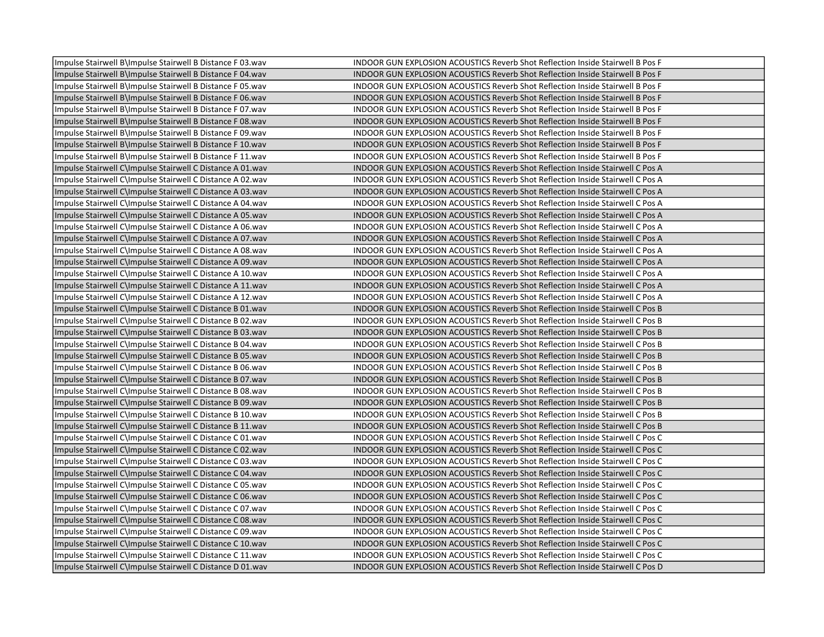| Impulse Stairwell B\Impulse Stairwell B Distance F 03.wav | INDOOR GUN EXPLOSION ACOUSTICS Reverb Shot Reflection Inside Stairwell B Pos F        |
|-----------------------------------------------------------|---------------------------------------------------------------------------------------|
| Impulse Stairwell B\Impulse Stairwell B Distance F 04.wav | INDOOR GUN EXPLOSION ACOUSTICS Reverb Shot Reflection Inside Stairwell B Pos F        |
| Impulse Stairwell B\Impulse Stairwell B Distance F 05.wav | INDOOR GUN EXPLOSION ACOUSTICS Reverb Shot Reflection Inside Stairwell B Pos F        |
| Impulse Stairwell B\Impulse Stairwell B Distance F 06.wav | INDOOR GUN EXPLOSION ACOUSTICS Reverb Shot Reflection Inside Stairwell B Pos F        |
| Impulse Stairwell B\Impulse Stairwell B Distance F 07.wav | INDOOR GUN EXPLOSION ACOUSTICS Reverb Shot Reflection Inside Stairwell B Pos F        |
| Impulse Stairwell B\Impulse Stairwell B Distance F 08.wav | INDOOR GUN EXPLOSION ACOUSTICS Reverb Shot Reflection Inside Stairwell B Pos F        |
| Impulse Stairwell B\Impulse Stairwell B Distance F 09.wav | INDOOR GUN EXPLOSION ACOUSTICS Reverb Shot Reflection Inside Stairwell B Pos F        |
| Impulse Stairwell B\Impulse Stairwell B Distance F 10.wav | INDOOR GUN EXPLOSION ACOUSTICS Reverb Shot Reflection Inside Stairwell B Pos F        |
| Impulse Stairwell B\Impulse Stairwell B Distance F 11.wav | INDOOR GUN EXPLOSION ACOUSTICS Reverb Shot Reflection Inside Stairwell B Pos F        |
| Impulse Stairwell C\Impulse Stairwell C Distance A 01.wav | INDOOR GUN EXPLOSION ACOUSTICS Reverb Shot Reflection Inside Stairwell C Pos A        |
| Impulse Stairwell C\Impulse Stairwell C Distance A 02.wav | INDOOR GUN EXPLOSION ACOUSTICS Reverb Shot Reflection Inside Stairwell C Pos A        |
| Impulse Stairwell C\Impulse Stairwell C Distance A 03.wav | INDOOR GUN EXPLOSION ACOUSTICS Reverb Shot Reflection Inside Stairwell C Pos A        |
| Impulse Stairwell C\Impulse Stairwell C Distance A 04.wav | INDOOR GUN EXPLOSION ACOUSTICS Reverb Shot Reflection Inside Stairwell C Pos A        |
| Impulse Stairwell C\Impulse Stairwell C Distance A 05.wav | INDOOR GUN EXPLOSION ACOUSTICS Reverb Shot Reflection Inside Stairwell C Pos A        |
| Impulse Stairwell C\Impulse Stairwell C Distance A 06.wav | INDOOR GUN EXPLOSION ACOUSTICS Reverb Shot Reflection Inside Stairwell C Pos A        |
| Impulse Stairwell C\Impulse Stairwell C Distance A 07.wav | INDOOR GUN EXPLOSION ACOUSTICS Reverb Shot Reflection Inside Stairwell C Pos A        |
| Impulse Stairwell C\Impulse Stairwell C Distance A 08.wav | INDOOR GUN EXPLOSION ACOUSTICS Reverb Shot Reflection Inside Stairwell C Pos A        |
| Impulse Stairwell C\Impulse Stairwell C Distance A 09.wav | INDOOR GUN EXPLOSION ACOUSTICS Reverb Shot Reflection Inside Stairwell C Pos A        |
| Impulse Stairwell C\Impulse Stairwell C Distance A 10.wav | INDOOR GUN EXPLOSION ACOUSTICS Reverb Shot Reflection Inside Stairwell C Pos A        |
| Impulse Stairwell C\Impulse Stairwell C Distance A 11.wav | INDOOR GUN EXPLOSION ACOUSTICS Reverb Shot Reflection Inside Stairwell C Pos A        |
| Impulse Stairwell C\Impulse Stairwell C Distance A 12.wav | INDOOR GUN EXPLOSION ACOUSTICS Reverb Shot Reflection Inside Stairwell C Pos A        |
| Impulse Stairwell C\Impulse Stairwell C Distance B 01.wav | <b>INDOOR GUN EXPLOSION ACOUSTICS Reverb Shot Reflection Inside Stairwell C Pos B</b> |
| Impulse Stairwell C\Impulse Stairwell C Distance B 02.wav | INDOOR GUN EXPLOSION ACOUSTICS Reverb Shot Reflection Inside Stairwell C Pos B        |
| Impulse Stairwell C\Impulse Stairwell C Distance B 03.wav | INDOOR GUN EXPLOSION ACOUSTICS Reverb Shot Reflection Inside Stairwell C Pos B        |
| Impulse Stairwell C\Impulse Stairwell C Distance B 04.wav | INDOOR GUN EXPLOSION ACOUSTICS Reverb Shot Reflection Inside Stairwell C Pos B        |
| Impulse Stairwell C\Impulse Stairwell C Distance B 05.wav | INDOOR GUN EXPLOSION ACOUSTICS Reverb Shot Reflection Inside Stairwell C Pos B        |
| Impulse Stairwell C\Impulse Stairwell C Distance B 06.wav | INDOOR GUN EXPLOSION ACOUSTICS Reverb Shot Reflection Inside Stairwell C Pos B        |
| Impulse Stairwell C\Impulse Stairwell C Distance B 07.wav | INDOOR GUN EXPLOSION ACOUSTICS Reverb Shot Reflection Inside Stairwell C Pos B        |
| Impulse Stairwell C\Impulse Stairwell C Distance B 08.wav | INDOOR GUN EXPLOSION ACOUSTICS Reverb Shot Reflection Inside Stairwell C Pos B        |
| Impulse Stairwell C\Impulse Stairwell C Distance B 09.wav | INDOOR GUN EXPLOSION ACOUSTICS Reverb Shot Reflection Inside Stairwell C Pos B        |
| Impulse Stairwell C\Impulse Stairwell C Distance B 10.wav | INDOOR GUN EXPLOSION ACOUSTICS Reverb Shot Reflection Inside Stairwell C Pos B        |
| Impulse Stairwell C\Impulse Stairwell C Distance B 11.wav | INDOOR GUN EXPLOSION ACOUSTICS Reverb Shot Reflection Inside Stairwell C Pos B        |
| Impulse Stairwell C\Impulse Stairwell C Distance C 01.wav | INDOOR GUN EXPLOSION ACOUSTICS Reverb Shot Reflection Inside Stairwell C Pos C        |
| Impulse Stairwell C\Impulse Stairwell C Distance C 02.wav | INDOOR GUN EXPLOSION ACOUSTICS Reverb Shot Reflection Inside Stairwell C Pos C        |
| Impulse Stairwell C\Impulse Stairwell C Distance C 03.wav | INDOOR GUN EXPLOSION ACOUSTICS Reverb Shot Reflection Inside Stairwell C Pos C        |
| Impulse Stairwell C\Impulse Stairwell C Distance C 04.wav | INDOOR GUN EXPLOSION ACOUSTICS Reverb Shot Reflection Inside Stairwell C Pos C        |
| Impulse Stairwell C\Impulse Stairwell C Distance C 05.wav | INDOOR GUN EXPLOSION ACOUSTICS Reverb Shot Reflection Inside Stairwell C Pos C        |
| Impulse Stairwell C\Impulse Stairwell C Distance C 06.wav | INDOOR GUN EXPLOSION ACOUSTICS Reverb Shot Reflection Inside Stairwell C Pos C        |
| Impulse Stairwell C\Impulse Stairwell C Distance C 07.wav | INDOOR GUN EXPLOSION ACOUSTICS Reverb Shot Reflection Inside Stairwell C Pos C        |
| Impulse Stairwell C\Impulse Stairwell C Distance C 08.wav | INDOOR GUN EXPLOSION ACOUSTICS Reverb Shot Reflection Inside Stairwell C Pos C        |
| Impulse Stairwell C\Impulse Stairwell C Distance C 09.wav | INDOOR GUN EXPLOSION ACOUSTICS Reverb Shot Reflection Inside Stairwell C Pos C        |
| Impulse Stairwell C\Impulse Stairwell C Distance C 10.wav | INDOOR GUN EXPLOSION ACOUSTICS Reverb Shot Reflection Inside Stairwell C Pos C        |
| Impulse Stairwell C\Impulse Stairwell C Distance C 11.wav | INDOOR GUN EXPLOSION ACOUSTICS Reverb Shot Reflection Inside Stairwell C Pos C        |
| Impulse Stairwell C\Impulse Stairwell C Distance D 01.wav | INDOOR GUN EXPLOSION ACOUSTICS Reverb Shot Reflection Inside Stairwell C Pos D        |